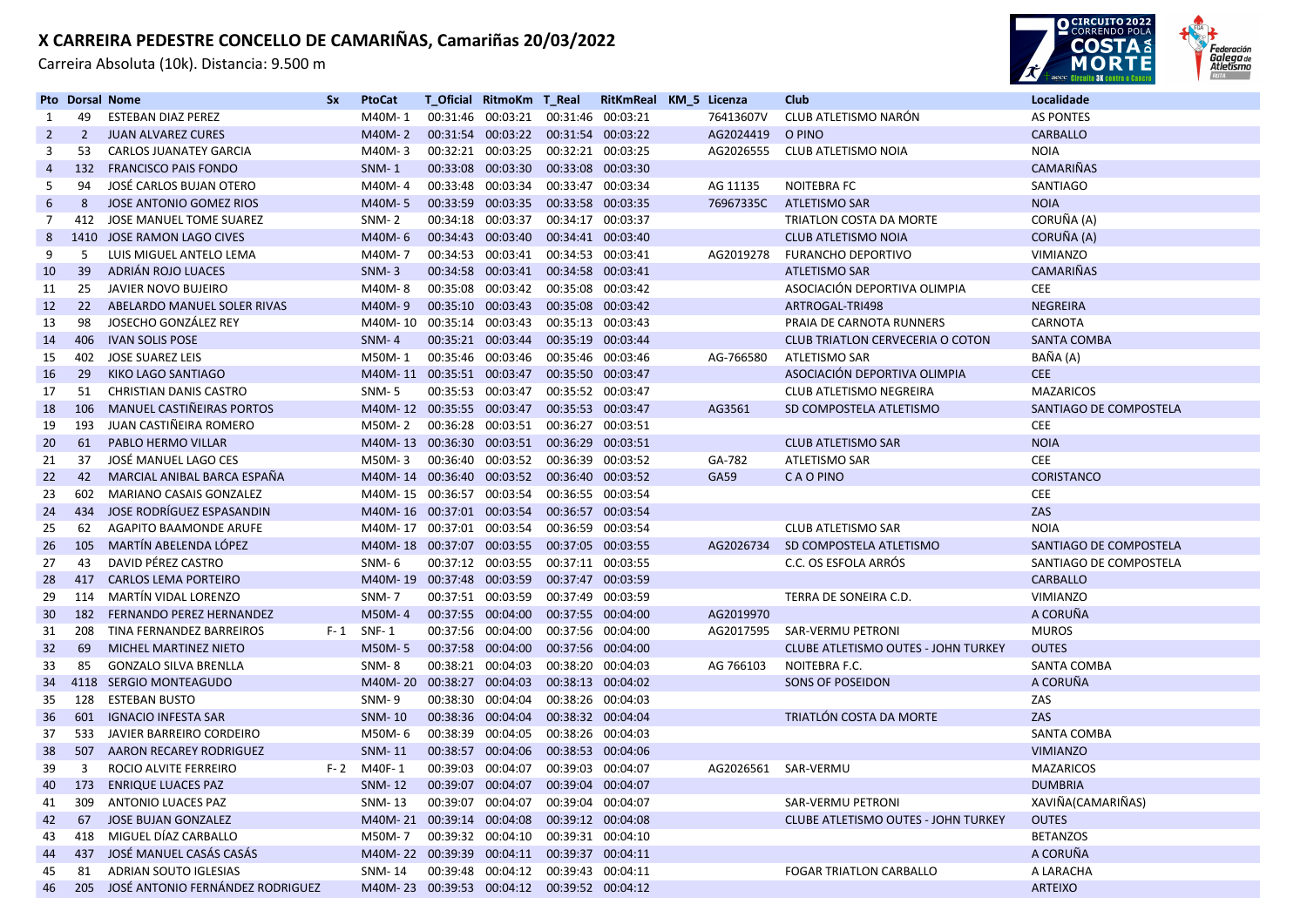Carreira Absoluta (10k). Distancia: 9.500 m



|                | <b>Pto Dorsal Nome</b> |                                  | <b>Sx</b> | <b>PtoCat</b>                               |                   | T Oficial RitmoKm T Real                    |                   | RitKmReal KM 5 Licenza |                     | Club                                       | Localidade             |
|----------------|------------------------|----------------------------------|-----------|---------------------------------------------|-------------------|---------------------------------------------|-------------------|------------------------|---------------------|--------------------------------------------|------------------------|
| 1              | 49                     | <b>ESTEBAN DIAZ PEREZ</b>        |           | M40M-1                                      |                   | 00:31:46 00:03:21                           | 00:31:46 00:03:21 |                        | 76413607V           | CLUB ATLETISMO NARÓN                       | <b>AS PONTES</b>       |
| $\overline{2}$ | $\overline{2}$         | <b>JUAN ALVAREZ CURES</b>        |           | M40M-2                                      | 00:31:54          | 00:03:22                                    | 00:31:54 00:03:22 |                        | AG2024419           | O PINO                                     | <b>CARBALLO</b>        |
| 3              | 53                     | CARLOS JUANATEY GARCIA           |           | M40M-3                                      |                   | 00:32:21 00:03:25                           | 00:32:21 00:03:25 |                        | AG2026555           | CLUB ATLETISMO NOIA                        | <b>NOIA</b>            |
| $\overline{4}$ | 132                    | <b>FRANCISCO PAIS FONDO</b>      |           | <b>SNM-1</b>                                |                   | 00:33:08 00:03:30                           | 00:33:08 00:03:30 |                        |                     |                                            | <b>CAMARIÑAS</b>       |
| 5              | 94                     | JOSÉ CARLOS BUJAN OTERO          |           | M40M-4                                      |                   | 00:33:48 00:03:34                           | 00:33:47 00:03:34 |                        | AG 11135            | <b>NOITEBRA FC</b>                         | SANTIAGO               |
| 6              | 8                      | <b>JOSE ANTONIO GOMEZ RIOS</b>   |           | M40M-5                                      |                   | 00:33:59 00:03:35                           | 00:33:58 00:03:35 |                        | 76967335C           | ATLETISMO SAR                              | <b>NOIA</b>            |
| 7              | 412                    | JOSE MANUEL TOME SUAREZ          |           | SNM-2                                       | 00:34:18          | 00:03:37                                    | 00:34:17 00:03:37 |                        |                     | TRIATLON COSTA DA MORTE                    | CORUÑA (A)             |
| 8              |                        | 1410 JOSE RAMON LAGO CIVES       |           | M40M-6                                      |                   | 00:34:43 00:03:40                           | 00:34:41 00:03:40 |                        |                     | <b>CLUB ATLETISMO NOIA</b>                 | CORUÑA (A)             |
| 9              | 5                      | LUIS MIGUEL ANTELO LEMA          |           | M40M-7                                      | 00:34:53          | 00:03:41 00:34:53 00:03:41                  |                   |                        | AG2019278           | <b>FURANCHO DEPORTIVO</b>                  | VIMIANZO               |
| 10             | 39                     | ADRIÁN ROJO LUACES               |           | $SNM-3$                                     |                   | 00:34:58 00:03:41 00:34:58 00:03:41         |                   |                        |                     | <b>ATLETISMO SAR</b>                       | <b>CAMARIÑAS</b>       |
| 11             | 25                     | <b>JAVIER NOVO BUJEIRO</b>       |           | M40M-8                                      | 00:35:08          | 00:03:42                                    | 00:35:08 00:03:42 |                        |                     | ASOCIACIÓN DEPORTIVA OLIMPIA               | <b>CEE</b>             |
| 12             | 22                     | ABELARDO MANUEL SOLER RIVAS      |           | M40M-9                                      | 00:35:10          | 00:03:43                                    | 00:35:08          | 00:03:42               |                     | ARTROGAL-TRI498                            | <b>NEGREIRA</b>        |
| 13             | 98                     | JOSECHO GONZÁLEZ REY             |           | M40M-10                                     | 00:35:14 00:03:43 |                                             | 00:35:13 00:03:43 |                        |                     | PRAIA DE CARNOTA RUNNERS                   | CARNOTA                |
| 14             | 406                    | <b>IVAN SOLIS POSE</b>           |           | <b>SNM-4</b>                                | 00:35:21          | 00:03:44                                    | 00:35:19 00:03:44 |                        |                     | <b>CLUB TRIATLON CERVECERIA O COTON</b>    | <b>SANTA COMBA</b>     |
| 15             | 402                    | <b>JOSE SUAREZ LEIS</b>          |           | M50M-1                                      |                   | 00:35:46 00:03:46                           | 00:35:46 00:03:46 |                        | AG-766580           | ATLETISMO SAR                              | BAÑA (A)               |
| 16             | 29                     | KIKO LAGO SANTIAGO               |           | M40M-11 00:35:51 00:03:47                   |                   |                                             | 00:35:50 00:03:47 |                        |                     | ASOCIACIÓN DEPORTIVA OLIMPIA               | <b>CEE</b>             |
| 17             | 51                     | CHRISTIAN DANIS CASTRO           |           | <b>SNM-5</b>                                | 00:35:53          | 00:03:47                                    | 00:35:52 00:03:47 |                        |                     | CLUB ATLETISMO NEGREIRA                    | <b>MAZARICOS</b>       |
| 18             | 106                    | <b>MANUEL CASTIÑEIRAS PORTOS</b> |           | M40M-12 00:35:55 00:03:47                   |                   |                                             | 00:35:53 00:03:47 |                        | AG3561              | SD COMPOSTELA ATLETISMO                    | SANTIAGO DE COMPOSTELA |
| 19             | 193                    | JUAN CASTIÑEIRA ROMERO           |           | M50M-2                                      | 00:36:28          | 00:03:51                                    | 00:36:27          | 00:03:51               |                     |                                            | <b>CEE</b>             |
| 20             | 61                     | PABLO HERMO VILLAR               |           | M40M-13 00:36:30 00:03:51 00:36:29 00:03:51 |                   |                                             |                   |                        |                     | <b>CLUB ATLETISMO SAR</b>                  | <b>NOIA</b>            |
| 21             | 37                     | JOSÉ MANUEL LAGO CES             |           | M50M-3                                      | 00:36:40          | 00:03:52                                    | 00:36:39 00:03:52 |                        | GA-782              | ATLETISMO SAR                              | <b>CEE</b>             |
| 22             | 42                     | MARCIAL ANIBAL BARCA ESPAÑA      |           | M40M-14 00:36:40                            |                   | 00:03:52                                    | 00:36:40          | 00:03:52               | <b>GA59</b>         | C A O PINO                                 | <b>CORISTANCO</b>      |
| 23             | 602                    | MARIANO CASAIS GONZALEZ          |           | M40M-15 00:36:57 00:03:54                   |                   |                                             | 00:36:55 00:03:54 |                        |                     |                                            | <b>CEE</b>             |
| 24             | 434                    | JOSE RODRÍGUEZ ESPASANDIN        |           | M40M-16 00:37:01                            |                   | 00:03:54                                    | 00:36:57 00:03:54 |                        |                     |                                            | ZAS                    |
| 25             | 62                     | <b>AGAPITO BAAMONDE ARUFE</b>    |           | M40M-17 00:37:01 00:03:54                   |                   |                                             | 00:36:59 00:03:54 |                        |                     | <b>CLUB ATLETISMO SAR</b>                  | <b>NOIA</b>            |
| 26             | 105                    | MARTÍN ABELENDA LÓPEZ            |           | M40M-18 00:37:07 00:03:55                   |                   |                                             | 00:37:05 00:03:55 |                        | AG2026734           | SD COMPOSTELA ATLETISMO                    | SANTIAGO DE COMPOSTELA |
| 27             | 43                     | DAVID PÉREZ CASTRO               |           | SNM-6                                       |                   | 00:37:12 00:03:55                           | 00:37:11 00:03:55 |                        |                     | C.C. OS ESFOLA ARRÓS                       | SANTIAGO DE COMPOSTELA |
| 28             | 417                    | <b>CARLOS LEMA PORTEIRO</b>      |           | M40M-19 00:37:48 00:03:59                   |                   |                                             | 00:37:47 00:03:59 |                        |                     |                                            | <b>CARBALLO</b>        |
| 29             | 114                    | MARTÍN VIDAL LORENZO             |           | SNM-7                                       | 00:37:51          | 00:03:59                                    | 00:37:49          | 00:03:59               |                     | TERRA DE SONEIRA C.D.                      | VIMIANZO               |
| 30             | 182                    | <b>FERNANDO PEREZ HERNANDEZ</b>  |           | M50M-4                                      |                   | 00:37:55 00:04:00                           | 00:37:55 00:04:00 |                        | AG2019970           |                                            | A CORUÑA               |
| 31             | 208                    | TINA FERNANDEZ BARREIROS         | $F - 1$   | SNF-1                                       |                   | 00:37:56 00:04:00                           | 00:37:56 00:04:00 |                        | AG2017595           | SAR-VERMU PETRONI                          | <b>MUROS</b>           |
| 32             | 69                     | <b>MICHEL MARTINEZ NIETO</b>     |           | M50M-5                                      |                   | 00:37:58 00:04:00                           | 00:37:56 00:04:00 |                        |                     | <b>CLUBE ATLETISMO OUTES - JOHN TURKEY</b> | <b>OUTES</b>           |
| 33             | 85                     | <b>GONZALO SILVA BRENLLA</b>     |           | SNM-8                                       |                   | 00:38:21 00:04:03                           | 00:38:20 00:04:03 |                        | AG 766103           | NOITEBRA F.C.                              | SANTA COMBA            |
| 34             | 4118                   | <b>SERGIO MONTEAGUDO</b>         |           | M40M-20                                     | 00:38:27          | 00:04:03                                    | 00:38:13 00:04:02 |                        |                     | <b>SONS OF POSEIDON</b>                    | A CORUÑA               |
| 35             | 128                    | <b>ESTEBAN BUSTO</b>             |           | <b>SNM-9</b>                                | 00:38:30          | 00:04:04                                    | 00:38:26 00:04:03 |                        |                     |                                            | ZAS                    |
| 36             | 601                    | <b>IGNACIO INFESTA SAR</b>       |           | <b>SNM-10</b>                               |                   | 00:38:36 00:04:04                           | 00:38:32 00:04:04 |                        |                     | TRIATLÓN COSTA DA MORTE                    | ZAS                    |
| 37             | 533                    | JAVIER BARREIRO CORDEIRO         |           | M50M-6                                      | 00:38:39          | 00:04:05                                    | 00:38:26 00:04:03 |                        |                     |                                            | <b>SANTA COMBA</b>     |
| 38             | 507                    | AARON RECAREY RODRIGUEZ          |           | <b>SNM-11</b>                               | 00:38:57          | 00:04:06                                    | 00:38:53 00:04:06 |                        |                     |                                            | <b>VIMIANZO</b>        |
| 39             | $\overline{3}$         | ROCIO ALVITE FERREIRO            | $F - 2$   | M40F-1                                      | 00:39:03          | 00:04:07                                    | 00:39:03          | 00:04:07               | AG2026561 SAR-VERMU |                                            | <b>MAZARICOS</b>       |
| 40             | 173                    | <b>ENRIQUE LUACES PAZ</b>        |           | <b>SNM-12</b>                               | 00:39:07          | 00:04:07                                    | 00:39:04 00:04:07 |                        |                     |                                            | <b>DUMBRIA</b>         |
| 41             | 309                    | <b>ANTONIO LUACES PAZ</b>        |           | SNM-13                                      | 00:39:07          | 00:04:07                                    | 00:39:04 00:04:07 |                        |                     | SAR-VERMU PETRONI                          | XAVIÑA(CAMARIÑAS)      |
| 42             | 67                     | <b>JOSE BUJAN GONZALEZ</b>       |           | M40M-21                                     | 00:39:14          | 00:04:08                                    | 00:39:12 00:04:08 |                        |                     | <b>CLUBE ATLETISMO OUTES - JOHN TURKEY</b> | <b>OUTES</b>           |
| 43             | 418                    | MIGUEL DÍAZ CARBALLO             |           | M50M- 7                                     |                   | 00:39:32 00:04:10                           | 00:39:31 00:04:10 |                        |                     |                                            | <b>BETANZOS</b>        |
| 44             | 437                    | JOSÉ MANUEL CASÁS CASÁS          |           | M40M-22                                     | 00:39:39          | 00:04:11 00:39:37                           |                   | 00:04:11               |                     |                                            | A CORUÑA               |
| 45             | 81                     | ADRIAN SOUTO IGLESIAS            |           | <b>SNM-14</b>                               | 00:39:48          | 00:04:12                                    | 00:39:43 00:04:11 |                        |                     | <b>FOGAR TRIATLON CARBALLO</b>             | A LARACHA              |
| 46             | 205                    | JOSÉ ANTONIO FERNÁNDEZ RODRIGUEZ |           |                                             |                   | M40M-23 00:39:53 00:04:12 00:39:52 00:04:12 |                   |                        |                     |                                            | <b>ARTEIXO</b>         |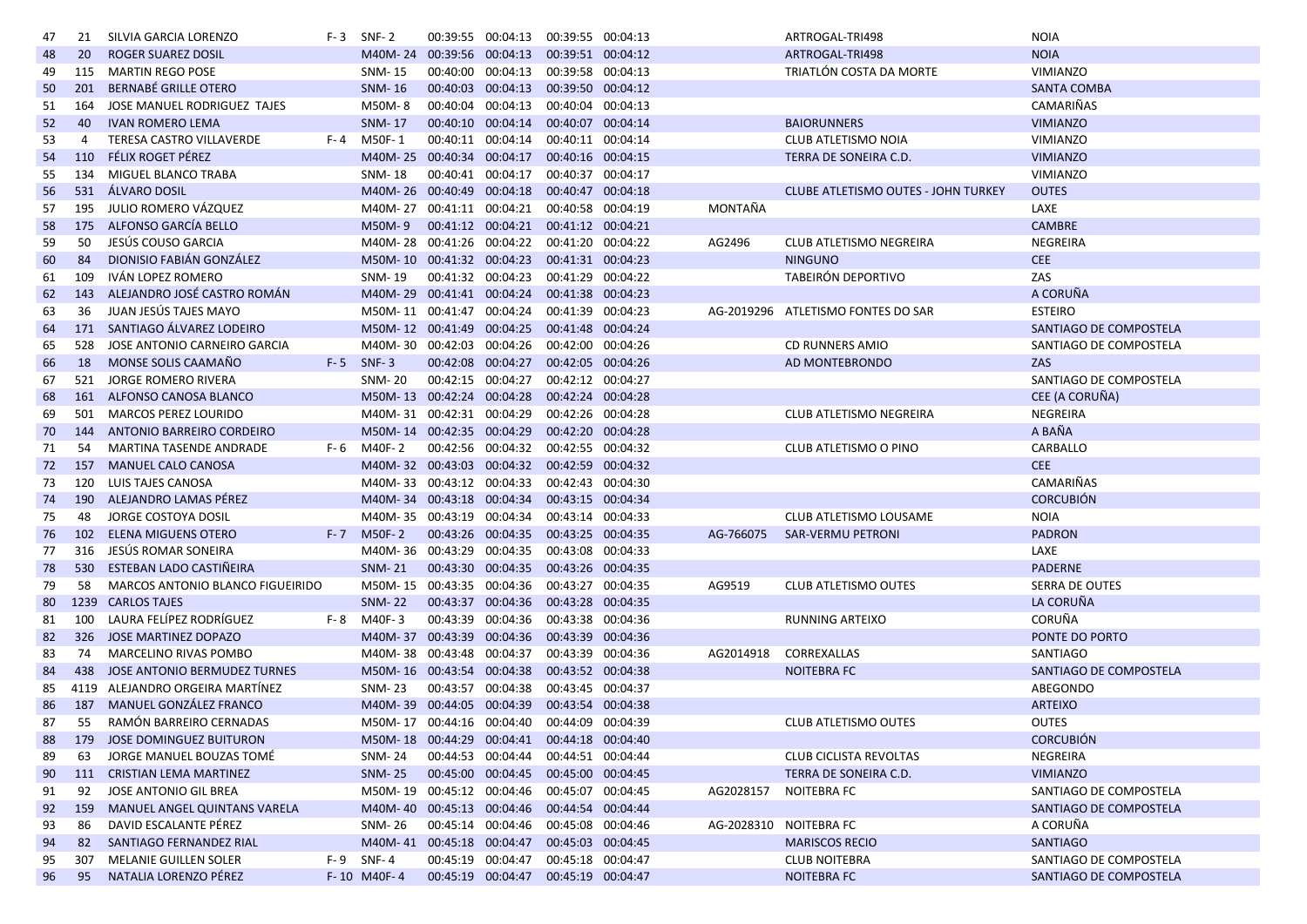| 47 | 21  | SILVIA GARCIA LORENZO            | F-3     | SNF-2                                       |                   | 00:39:55 00:04:13                   | 00:39:55 00:04:13 |           | ARTROGAL-TRI498                            | <b>NOIA</b>            |
|----|-----|----------------------------------|---------|---------------------------------------------|-------------------|-------------------------------------|-------------------|-----------|--------------------------------------------|------------------------|
| 48 | 20  | <b>ROGER SUAREZ DOSIL</b>        |         | M40M-24                                     | 00:39:56 00:04:13 |                                     | 00:39:51 00:04:12 |           | ARTROGAL-TRI498                            | <b>NOIA</b>            |
| 49 | 115 | <b>MARTIN REGO POSE</b>          |         | SNM-15                                      |                   | 00:40:00 00:04:13                   | 00:39:58 00:04:13 |           | TRIATLÓN COSTA DA MORTE                    | <b>VIMIANZO</b>        |
| 50 | 201 | <b>BERNABÉ GRILLE OTERO</b>      |         | <b>SNM-16</b>                               |                   | 00:40:03 00:04:13 00:39:50 00:04:12 |                   |           |                                            | <b>SANTA COMBA</b>     |
| 51 | 164 | JOSE MANUEL RODRIGUEZ TAJES      |         | M50M-8                                      | 00:40:04 00:04:13 |                                     | 00:40:04 00:04:13 |           |                                            | CAMARIÑAS              |
| 52 | 40  | <b>IVAN ROMERO LEMA</b>          |         | <b>SNM-17</b>                               |                   | 00:40:10 00:04:14                   | 00:40:07 00:04:14 |           | <b>BAIORUNNERS</b>                         | <b>VIMIANZO</b>        |
| 53 | 4   | TERESA CASTRO VILLAVERDE         | F-4     | M50F-1                                      |                   | 00:40:11 00:04:14 00:40:11 00:04:14 |                   |           | <b>CLUB ATLETISMO NOIA</b>                 | <b>VIMIANZO</b>        |
| 54 | 110 | FÉLIX ROGET PÉREZ                |         | M40M-25                                     | 00:40:34 00:04:17 |                                     | 00:40:16 00:04:15 |           | TERRA DE SONEIRA C.D.                      | <b>VIMIANZO</b>        |
| 55 | 134 | MIGUEL BLANCO TRABA              |         | SNM-18                                      | 00:40:41 00:04:17 |                                     | 00:40:37 00:04:17 |           |                                            | <b>VIMIANZO</b>        |
| 56 | 531 | <b>ÁLVARO DOSIL</b>              |         | M40M-26 00:40:49 00:04:18 00:40:47 00:04:18 |                   |                                     |                   |           | <b>CLUBE ATLETISMO OUTES - JOHN TURKEY</b> | <b>OUTES</b>           |
| 57 | 195 | JULIO ROMERO VÁZQUEZ             |         | M40M-27 00:41:11 00:04:21 00:40:58 00:04:19 |                   |                                     |                   | MONTAÑA   |                                            | LAXE                   |
| 58 | 175 | ALFONSO GARCÍA BELLO             |         | M50M-9                                      |                   | 00:41:12 00:04:21 00:41:12 00:04:21 |                   |           |                                            | <b>CAMBRE</b>          |
| 59 | 50  | JESÚS COUSO GARCIA               |         | M40M-28 00:41:26 00:04:22 00:41:20 00:04:22 |                   |                                     |                   | AG2496    | CLUB ATLETISMO NEGREIRA                    | NEGREIRA               |
| 60 | 84  | DIONISIO FABIÁN GONZÁLEZ         |         | M50M-10 00:41:32 00:04:23                   |                   |                                     | 00:41:31 00:04:23 |           | <b>NINGUNO</b>                             | <b>CEE</b>             |
| 61 | 109 | IVÁN LOPEZ ROMERO                |         | SNM-19                                      | 00:41:32 00:04:23 |                                     | 00:41:29 00:04:22 |           | TABEIRÓN DEPORTIVO                         | ZAS                    |
| 62 | 143 | ALEJANDRO JOSÉ CASTRO ROMÁN      |         | M40M-29 00:41:41 00:04:24 00:41:38 00:04:23 |                   |                                     |                   |           |                                            | A CORUÑA               |
| 63 | 36  | JUAN JESÚS TAJES MAYO            |         | M50M-11 00:41:47 00:04:24 00:41:39 00:04:23 |                   |                                     |                   |           | AG-2019296 ATLETISMO FONTES DO SAR         | <b>ESTEIRO</b>         |
| 64 | 171 | SANTIAGO ÁLVAREZ LODEIRO         |         | M50M-12 00:41:49 00:04:25                   |                   |                                     | 00:41:48 00:04:24 |           |                                            | SANTIAGO DE COMPOSTELA |
| 65 | 528 | JOSE ANTONIO CARNEIRO GARCIA     |         | M40M-30 00:42:03 00:04:26                   |                   |                                     | 00:42:00 00:04:26 |           | <b>CD RUNNERS AMIO</b>                     | SANTIAGO DE COMPOSTELA |
| 66 | 18  | MONSE SOLIS CAAMAÑO              | $F - 5$ | $SNF-3$                                     | 00:42:08          | 00:04:27                            | 00:42:05 00:04:26 |           | AD MONTEBRONDO                             | <b>ZAS</b>             |
| 67 | 521 | JORGE ROMERO RIVERA              |         | <b>SNM-20</b>                               | 00:42:15 00:04:27 |                                     | 00:42:12 00:04:27 |           |                                            | SANTIAGO DE COMPOSTELA |
| 68 | 161 | ALFONSO CANOSA BLANCO            |         | M50M-13 00:42:24 00:04:28                   |                   |                                     | 00:42:24 00:04:28 |           |                                            | CEE (A CORUÑA)         |
| 69 | 501 | <b>MARCOS PEREZ LOURIDO</b>      |         | M40M-31 00:42:31 00:04:29                   |                   |                                     | 00:42:26 00:04:28 |           | CLUB ATLETISMO NEGREIRA                    | <b>NEGREIRA</b>        |
| 70 | 144 | ANTONIO BARREIRO CORDEIRO        |         | M50M-14 00:42:35 00:04:29                   |                   |                                     | 00:42:20 00:04:28 |           |                                            | A BAÑA                 |
| 71 | 54  | <b>MARTINA TASENDE ANDRADE</b>   |         | F-6 M40F-2                                  |                   | 00:42:56 00:04:32 00:42:55 00:04:32 |                   |           | CLUB ATLETISMO O PINO                      | CARBALLO               |
| 72 | 157 | <b>MANUEL CALO CANOSA</b>        |         | M40M-32 00:43:03 00:04:32 00:42:59 00:04:32 |                   |                                     |                   |           |                                            | <b>CEE</b>             |
| 73 | 120 | LUIS TAJES CANOSA                |         | M40M-33 00:43:12 00:04:33                   |                   |                                     | 00:42:43 00:04:30 |           |                                            | CAMARIÑAS              |
| 74 | 190 | ALEJANDRO LAMAS PÉREZ            |         | M40M-34 00:43:18 00:04:34 00:43:15 00:04:34 |                   |                                     |                   |           |                                            | <b>CORCUBIÓN</b>       |
| 75 | 48  | <b>JORGE COSTOYA DOSIL</b>       |         | M40M-35 00:43:19 00:04:34                   |                   |                                     | 00:43:14 00:04:33 |           | CLUB ATLETISMO LOUSAME                     | <b>NOIA</b>            |
| 76 | 102 | <b>ELENA MIGUENS OTERO</b>       | $F - 7$ | M50F-2                                      |                   | 00:43:26 00:04:35                   | 00:43:25 00:04:35 | AG-766075 | <b>SAR-VERMU PETRONI</b>                   | <b>PADRON</b>          |
| 77 | 316 | JESÚS ROMAR SONEIRA              |         | M40M-36 00:43:29 00:04:35 00:43:08 00:04:33 |                   |                                     |                   |           |                                            | LAXE                   |
| 78 | 530 | ESTEBAN LADO CASTIÑEIRA          |         | <b>SNM-21</b>                               |                   | 00:43:30 00:04:35 00:43:26 00:04:35 |                   |           |                                            | <b>PADERNE</b>         |
| 79 | 58  | MARCOS ANTONIO BLANCO FIGUEIRIDO |         | M50M-15                                     | 00:43:35 00:04:36 |                                     | 00:43:27 00:04:35 | AG9519    | <b>CLUB ATLETISMO OUTES</b>                | <b>SERRA DE OUTES</b>  |
| 80 |     | 1239 CARLOS TAJES                |         | <b>SNM-22</b>                               |                   | 00:43:37 00:04:36 00:43:28 00:04:35 |                   |           |                                            | LA CORUÑA              |
| 81 | 100 | LAURA FELÍPEZ RODRÍGUEZ          | F-8     | M40F-3                                      |                   | 00:43:39 00:04:36 00:43:38 00:04:36 |                   |           | <b>RUNNING ARTEIXO</b>                     | CORUÑA                 |
| 82 | 326 | <b>JOSE MARTINEZ DOPAZO</b>      |         | M40M-37                                     | 00:43:39 00:04:36 |                                     | 00:43:39 00:04:36 |           |                                            | PONTE DO PORTO         |
| 83 | 74  | MARCELINO RIVAS POMBO            |         | M40M-38 00:43:48 00:04:37                   |                   |                                     | 00:43:39 00:04:36 | AG2014918 | CORREXALLAS                                | SANTIAGO               |
| 84 | 438 | JOSE ANTONIO BERMUDEZ TURNES     |         | M50M-16 00:43:54 00:04:38 00:43:52 00:04:38 |                   |                                     |                   |           | <b>NOITEBRA FC</b>                         | SANTIAGO DE COMPOSTELA |
| 85 |     | 4119 ALEJANDRO ORGEIRA MARTÍNEZ  |         | SNM-23                                      |                   | 00:43:57 00:04:38 00:43:45 00:04:37 |                   |           |                                            | ABEGONDO               |
| 86 | 187 | MANUEL GONZÁLEZ FRANCO           |         | M40M-39 00:44:05 00:04:39 00:43:54 00:04:38 |                   |                                     |                   |           |                                            | <b>ARTEIXO</b>         |
| 87 | 55  | RAMÓN BARREIRO CERNADAS          |         | M50M-17 00:44:16 00:04:40 00:44:09 00:04:39 |                   |                                     |                   |           | CLUB ATLETISMO OUTES                       | OUTES                  |
| 88 | 179 | JOSE DOMINGUEZ BUITURON          |         | M50M-18 00:44:29 00:04:41 00:44:18 00:04:40 |                   |                                     |                   |           |                                            | <b>CORCUBIÓN</b>       |
| 89 | 63  | JORGE MANUEL BOUZAS TOME         |         | SNM-24                                      |                   | 00:44:53 00:04:44 00:44:51 00:04:44 |                   |           | CLUB CICLISTA REVOLTAS                     | NEGREIRA               |
| 90 |     | 111 CRISTIAN LEMA MARTINEZ       |         | <b>SNM-25</b>                               |                   | 00:45:00 00:04:45 00:45:00 00:04:45 |                   |           | TERRA DE SONEIRA C.D.                      | <b>VIMIANZO</b>        |
| 91 | 92  | JOSE ANTONIO GIL BREA            |         | M50M-19 00:45:12 00:04:46 00:45:07 00:04:45 |                   |                                     |                   |           | AG2028157 NOITEBRA FC                      | SANTIAGO DE COMPOSTELA |
| 92 | 159 | MANUEL ANGEL QUINTANS VARELA     |         | M40M-40 00:45:13 00:04:46 00:44:54 00:04:44 |                   |                                     |                   |           |                                            | SANTIAGO DE COMPOSTELA |
| 93 | 86  | DAVID ESCALANTE PÉREZ            |         | SNM-26                                      |                   | 00:45:14 00:04:46 00:45:08 00:04:46 |                   |           | AG-2028310 NOITEBRA FC                     | A CORUÑA               |
| 94 | 82  | SANTIAGO FERNANDEZ RIAL          |         | M40M-41                                     |                   | 00:45:18 00:04:47 00:45:03 00:04:45 |                   |           | <b>MARISCOS RECIO</b>                      | <b>SANTIAGO</b>        |
| 95 | 307 | MELANIE GUILLEN SOLER            |         | $F-9$ SNF-4                                 |                   | 00:45:19 00:04:47                   | 00:45:18 00:04:47 |           | <b>CLUB NOITEBRA</b>                       | SANTIAGO DE COMPOSTELA |
| 96 | 95  | NATALIA LORENZO PÉREZ            |         | F-10 M40F-4                                 |                   | 00:45:19 00:04:47 00:45:19 00:04:47 |                   |           | <b>NOITEBRA FC</b>                         | SANTIAGO DE COMPOSTELA |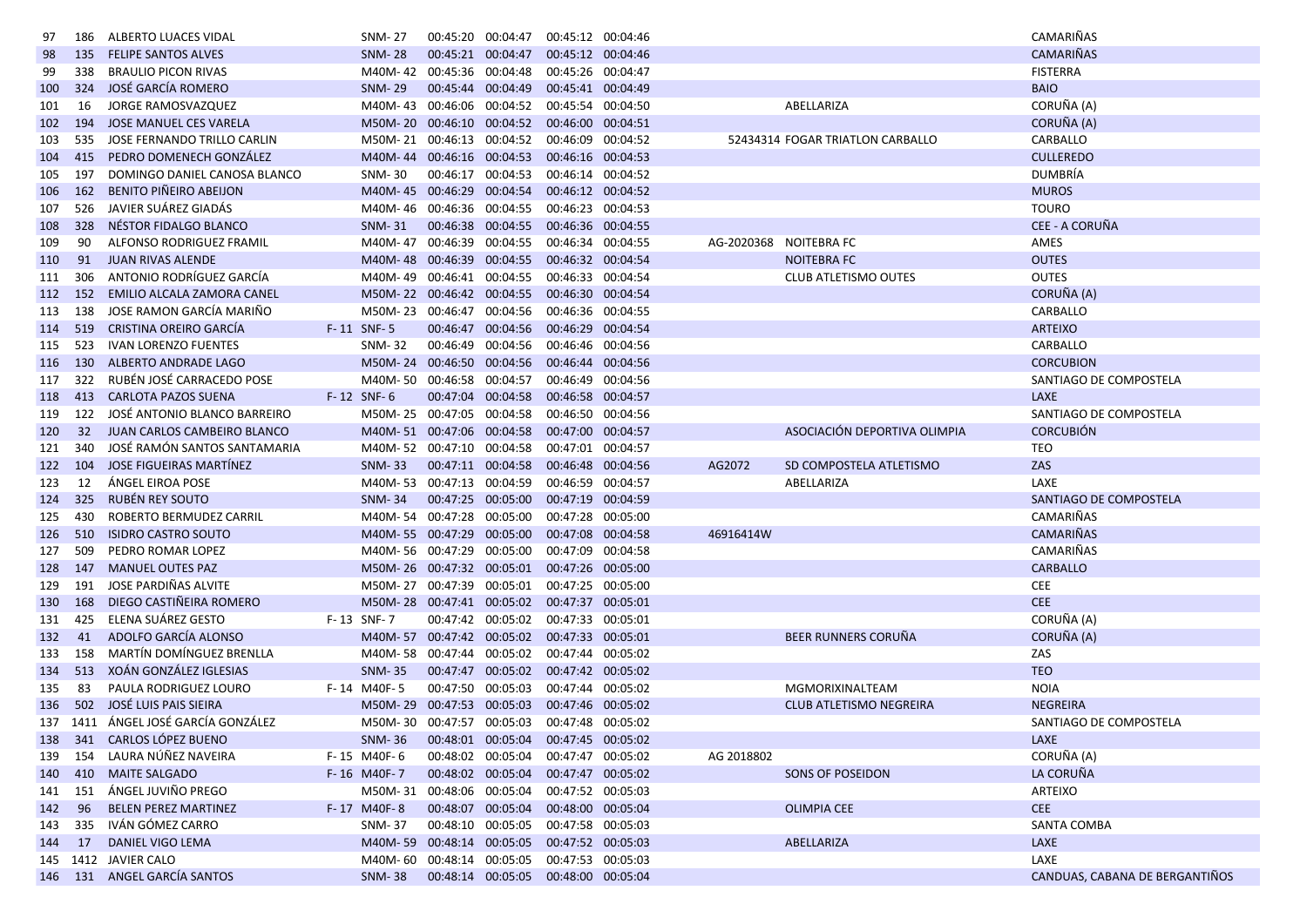| 97         | 186 | ALBERTO LUACES VIDAL                | SNM-27                                      | 00:45:20 00:04:47 |                                     | 00:45:12 00:04:46 |            |                                  | CAMARIÑAS                      |
|------------|-----|-------------------------------------|---------------------------------------------|-------------------|-------------------------------------|-------------------|------------|----------------------------------|--------------------------------|
| 98         | 135 | <b>FELIPE SANTOS ALVES</b>          | <b>SNM-28</b>                               | 00:45:21 00:04:47 |                                     | 00:45:12 00:04:46 |            |                                  | <b>CAMARIÑAS</b>               |
| 99         | 338 | <b>BRAULIO PICON RIVAS</b>          | M40M-42 00:45:36 00:04:48                   |                   |                                     | 00:45:26 00:04:47 |            |                                  | <b>FISTERRA</b>                |
| 100        | 324 | JOSÉ GARCÍA ROMERO                  | <b>SNM-29</b>                               |                   | 00:45:44 00:04:49                   | 00:45:41 00:04:49 |            |                                  | <b>BAIO</b>                    |
| 101        | 16  | JORGE RAMOSVAZQUEZ                  | M40M-43 00:46:06 00:04:52                   |                   |                                     | 00:45:54 00:04:50 |            | ABELLARIZA                       | CORUÑA (A)                     |
| 102        | 194 | <b>JOSE MANUEL CES VARELA</b>       | M50M-20 00:46:10 00:04:52                   |                   |                                     | 00:46:00 00:04:51 |            |                                  | CORUÑA (A)                     |
| 103        | 535 | JOSE FERNANDO TRILLO CARLIN         | M50M-21 00:46:13 00:04:52                   |                   |                                     | 00:46:09 00:04:52 |            | 52434314 FOGAR TRIATLON CARBALLO | CARBALLO                       |
| 104        | 415 | PEDRO DOMENECH GONZÁLEZ             | M40M-44 00:46:16 00:04:53                   |                   |                                     | 00:46:16 00:04:53 |            |                                  | <b>CULLEREDO</b>               |
| 105        | 197 | DOMINGO DANIEL CANOSA BLANCO        | <b>SNM-30</b>                               |                   | 00:46:17 00:04:53                   | 00:46:14 00:04:52 |            |                                  | DUMBRÍA                        |
| 106        | 162 | <b>BENITO PIÑEIRO ABEIJON</b>       | M40M-45 00:46:29 00:04:54                   |                   |                                     | 00:46:12 00:04:52 |            |                                  | <b>MUROS</b>                   |
| 107        | 526 | JAVIER SUÁREZ GIADÁS                | M40M-46 00:46:36 00:04:55                   |                   |                                     | 00:46:23 00:04:53 |            |                                  | <b>TOURO</b>                   |
| 108        | 328 | NÉSTOR FIDALGO BLANCO               | <b>SNM-31</b>                               |                   | 00:46:38 00:04:55                   | 00:46:36 00:04:55 |            |                                  | <b>CEE - A CORUÑA</b>          |
| 109        | 90  | ALFONSO RODRIGUEZ FRAMIL            | M40M-47 00:46:39 00:04:55                   |                   |                                     | 00:46:34 00:04:55 |            | AG-2020368 NOITEBRA FC           | AMES                           |
| 110        | 91  | <b>JUAN RIVAS ALENDE</b>            | M40M-48 00:46:39 00:04:55                   |                   |                                     | 00:46:32 00:04:54 |            | <b>NOITEBRA FC</b>               | <b>OUTES</b>                   |
| 111        | 306 | ANTONIO RODRÍGUEZ GARCÍA            | M40M-49 00:46:41 00:04:55                   |                   |                                     | 00:46:33 00:04:54 |            | <b>CLUB ATLETISMO OUTES</b>      | <b>OUTES</b>                   |
| 112        | 152 | EMILIO ALCALA ZAMORA CANEL          | M50M-22 00:46:42 00:04:55                   |                   |                                     | 00:46:30 00:04:54 |            |                                  | CORUÑA (A)                     |
| 113        | 138 | JOSE RAMON GARCÍA MARIÑO            | M50M-23 00:46:47 00:04:56                   |                   |                                     | 00:46:36 00:04:55 |            |                                  | CARBALLO                       |
| 114        | 519 | CRISTINA OREIRO GARCÍA              | F-11 SNF-5                                  |                   | 00:46:47 00:04:56                   | 00:46:29 00:04:54 |            |                                  | <b>ARTEIXO</b>                 |
| 115        | 523 | <b>IVAN LORENZO FUENTES</b>         | SNM-32                                      |                   | 00:46:49 00:04:56                   | 00:46:46 00:04:56 |            |                                  | CARBALLO                       |
| 116        | 130 | ALBERTO ANDRADE LAGO                | M50M-24 00:46:50 00:04:56                   |                   |                                     | 00:46:44 00:04:56 |            |                                  | <b>CORCUBION</b>               |
| 117        | 322 | RUBÉN JOSÉ CARRACEDO POSE           | M40M-50 00:46:58 00:04:57                   |                   |                                     | 00:46:49 00:04:56 |            |                                  | SANTIAGO DE COMPOSTELA         |
| 118        | 413 | <b>CARLOTA PAZOS SUENA</b>          | F-12 SNF-6                                  |                   | 00:47:04 00:04:58                   | 00:46:58 00:04:57 |            |                                  | LAXE                           |
| 119        | 122 | JOSÉ ANTONIO BLANCO BARREIRO        | M50M-25 00:47:05 00:04:58                   |                   |                                     | 00:46:50 00:04:56 |            |                                  | SANTIAGO DE COMPOSTELA         |
| 120        | 32  | <b>JUAN CARLOS CAMBEIRO BLANCO</b>  | M40M-51 00:47:06 00:04:58                   |                   |                                     | 00:47:00 00:04:57 |            | ASOCIACIÓN DEPORTIVA OLIMPIA     | <b>CORCUBIÓN</b>               |
| 121        | 340 | JOSÉ RAMÓN SANTOS SANTAMARIA        | M40M-52 00:47:10 00:04:58                   |                   |                                     | 00:47:01 00:04:57 |            |                                  | TEO                            |
| 122        | 104 | JOSE FIGUEIRAS MARTÍNEZ             | <b>SNM-33</b>                               |                   | 00:47:11 00:04:58                   | 00:46:48 00:04:56 | AG2072     | SD COMPOSTELA ATLETISMO          | ZAS                            |
| 123        | 12  | ÁNGEL EIROA POSE                    | M40M-53 00:47:13 00:04:59                   |                   |                                     | 00:46:59 00:04:57 |            | ABELLARIZA                       | LAXE                           |
|            | 325 | <b>RUBÉN REY SOUTO</b>              | <b>SNM-34</b>                               |                   | 00:47:25 00:05:00                   | 00:47:19 00:04:59 |            |                                  | SANTIAGO DE COMPOSTELA         |
| 124<br>125 | 430 | ROBERTO BERMUDEZ CARRIL             | M40M-54 00:47:28 00:05:00                   |                   |                                     | 00:47:28 00:05:00 |            |                                  | CAMARIÑAS                      |
|            | 510 | <b>ISIDRO CASTRO SOUTO</b>          | M40M-55 00:47:29 00:05:00                   |                   |                                     | 00:47:08 00:04:58 | 46916414W  |                                  | <b>CAMARIÑAS</b>               |
| 126        | 509 | PEDRO ROMAR LOPEZ                   | M40M-56 00:47:29 00:05:00                   |                   |                                     | 00:47:09 00:04:58 |            |                                  | CAMARIÑAS                      |
| 127        | 147 | <b>MANUEL OUTES PAZ</b>             |                                             |                   |                                     |                   |            |                                  | <b>CARBALLO</b>                |
| 128        |     | JOSE PARDIÑAS ALVITE                | M50M-26 00:47:32 00:05:01 00:47:26 00:05:00 |                   |                                     |                   |            |                                  |                                |
| 129        | 191 |                                     | M50M-27 00:47:39 00:05:01                   |                   |                                     | 00:47:25 00:05:00 |            |                                  | <b>CEE</b><br><b>CEE</b>       |
| 130        | 168 | DIEGO CASTIÑEIRA ROMERO             | M50M-28 00:47:41 00:05:02                   |                   |                                     | 00:47:37 00:05:01 |            |                                  |                                |
| 131        | 425 | ELENA SUÁREZ GESTO                  | F-13 SNF-7                                  |                   | 00:47:42 00:05:02                   | 00:47:33 00:05:01 |            |                                  | CORUÑA (A)                     |
| 132        | 41  | ADOLFO GARCÍA ALONSO                | M40M-57 00:47:42 00:05:02                   |                   |                                     | 00:47:33 00:05:01 |            | <b>BEER RUNNERS CORUÑA</b>       | CORUÑA (A)                     |
| 133        | 158 | MARTÍN DOMÍNGUEZ BRENLLA            | M40M-58 00:47:44 00:05:02                   |                   |                                     | 00:47:44 00:05:02 |            |                                  | ZAS                            |
| 134        | 513 | XOÁN GONZÁLEZ IGLESIAS              | <b>SNM-35</b>                               |                   | 00:47:47 00:05:02 00:47:42 00:05:02 |                   |            |                                  | <b>TEO</b>                     |
| 135        | 83  | PAULA RODRIGUEZ LOURO               | F-14 M40F-5                                 |                   | 00:47:50 00:05:03                   | 00:47:44 00:05:02 |            | MGMORIXINALTEAM                  | <b>NOIA</b>                    |
| 136        | 502 | JOSÉ LUIS PAIS SIEIRA               | M50M-29 00:47:53 00:05:03                   |                   |                                     | 00:47:46 00:05:02 |            | <b>CLUB ATLETISMO NEGREIRA</b>   | <b>NEGREIRA</b>                |
|            |     | 137 1411 ÁNGEL JOSÉ GARCÍA GONZÁLEZ | M50M-30 00:47:57 00:05:03 00:47:48 00:05:02 |                   |                                     |                   |            |                                  | SANTIAGO DE COMPOSTELA         |
|            |     | 138 341 CARLOS LÓPEZ BUENO          | SNM-36                                      |                   | 00:48:01 00:05:04 00:47:45 00:05:02 |                   |            |                                  | LAXE                           |
| 139        |     | 154 LAURA NÚÑEZ NAVEIRA             | F-15 M40F-6                                 |                   | 00:48:02 00:05:04                   | 00:47:47 00:05:02 | AG 2018802 |                                  | CORUÑA (A)                     |
| 140        |     | 410 MAITE SALGADO                   | F-16 M40F-7                                 |                   | 00:48:02 00:05:04 00:47:47 00:05:02 |                   |            | <b>SONS OF POSEIDON</b>          | LA CORUÑA                      |
|            |     | 141 151 ÁNGEL JUVIÑO PREGO          | M50M-31 00:48:06 00:05:04 00:47:52 00:05:03 |                   |                                     |                   |            |                                  | ARTEIXO                        |
| 142        | 96  | <b>BELEN PEREZ MARTINEZ</b>         | F-17 M40F-8                                 |                   | 00:48:07 00:05:04                   | 00:48:00 00:05:04 |            | <b>OLIMPIA CEE</b>               | <b>CEE</b>                     |
| 143        |     | 335 IVÁN GÓMEZ CARRO                | SNM-37                                      | 00:48:10 00:05:05 |                                     | 00:47:58 00:05:03 |            |                                  | <b>SANTA COMBA</b>             |
|            |     | 144 17 DANIEL VIGO LEMA             | M40M-59 00:48:14 00:05:05 00:47:52 00:05:03 |                   |                                     |                   |            | ABELLARIZA                       | LAXE                           |
|            |     | 145 1412 JAVIER CALO                | M40M-60 00:48:14 00:05:05                   |                   |                                     | 00:47:53 00:05:03 |            |                                  | LAXE                           |
|            |     | 146 131 ANGEL GARCÍA SANTOS         | <b>SNM-38</b>                               |                   | 00:48:14 00:05:05 00:48:00 00:05:04 |                   |            |                                  | CANDUAS, CABANA DE BERGANTIÑOS |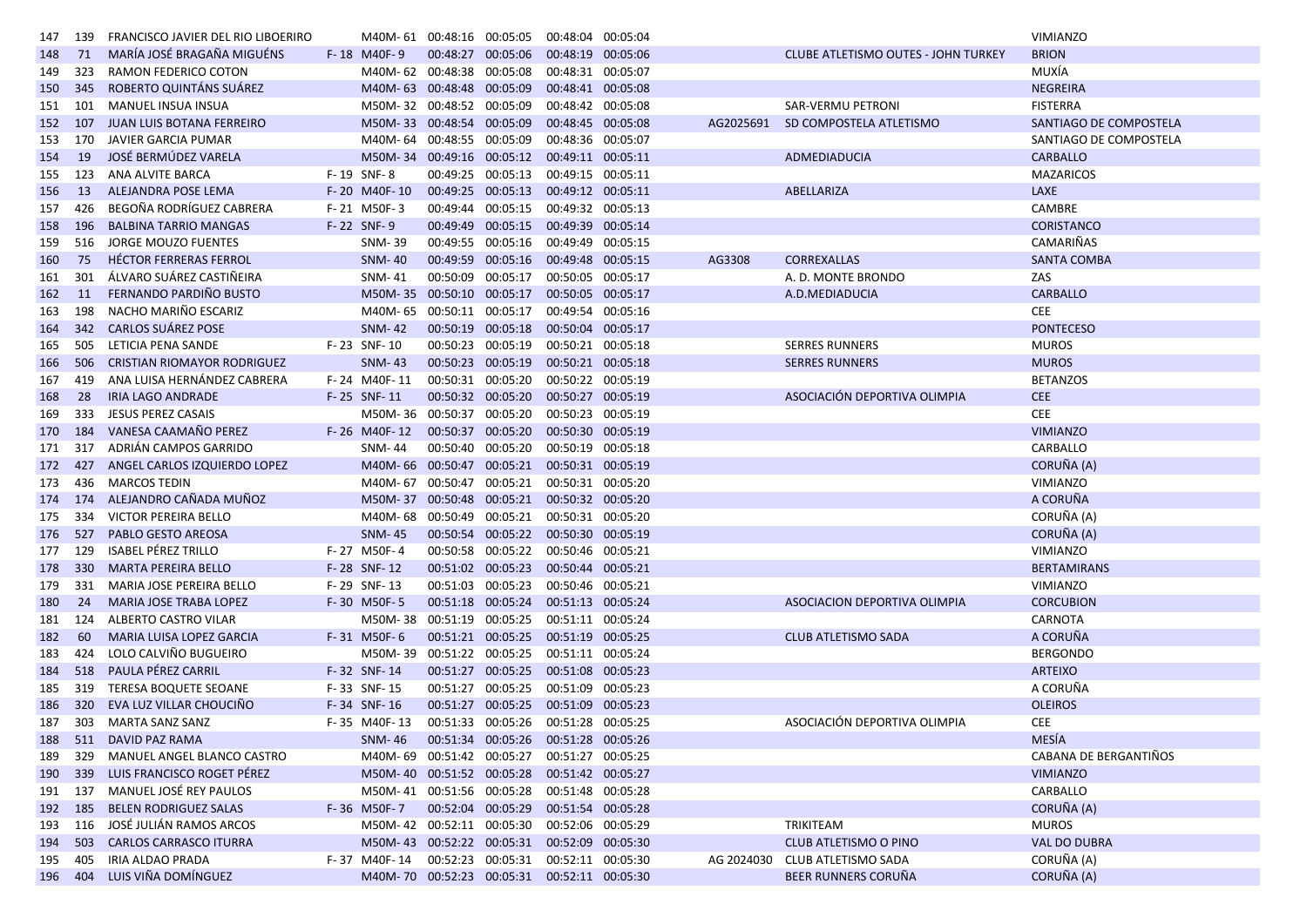| 147        | 139          | FRANCISCO JAVIER DEL RIO LIBOERIRO | M40M-61 00:48:16 00:05:05                        |                   |                                     | 00:48:04 00:05:04 |            |                                            | <b>VIMIANZO</b>        |
|------------|--------------|------------------------------------|--------------------------------------------------|-------------------|-------------------------------------|-------------------|------------|--------------------------------------------|------------------------|
| 148        | 71           | MARÍA JOSÉ BRAGAÑA MIGUÉNS         | F-18 M40F-9                                      |                   | 00:48:27 00:05:06                   | 00:48:19 00:05:06 |            | <b>CLUBE ATLETISMO OUTES - JOHN TURKEY</b> | <b>BRION</b>           |
| 149        | 323          | <b>RAMON FEDERICO COTON</b>        | M40M-62 00:48:38 00:05:08                        |                   |                                     | 00:48:31 00:05:07 |            |                                            | MUXÍA                  |
| <b>150</b> | 345          | ROBERTO QUINTÁNS SUÁREZ            | M40M-63 00:48:48 00:05:09                        |                   |                                     | 00:48:41 00:05:08 |            |                                            | <b>NEGREIRA</b>        |
| 151        | 101          | MANUEL INSUA INSUA                 | M50M-32 00:48:52 00:05:09                        |                   |                                     | 00:48:42 00:05:08 |            | SAR-VERMU PETRONI                          | <b>FISTERRA</b>        |
| 152        | 107          | <b>JUAN LUIS BOTANA FERREIRO</b>   | M50M-33 00:48:54 00:05:09                        |                   |                                     | 00:48:45 00:05:08 | AG2025691  | SD COMPOSTELA ATLETISMO                    | SANTIAGO DE COMPOSTELA |
| 153        | 170          | JAVIER GARCIA PUMAR                | M40M-64 00:48:55 00:05:09                        |                   |                                     | 00:48:36 00:05:07 |            |                                            | SANTIAGO DE COMPOSTELA |
| 154        | 19           | JOSÉ BERMÚDEZ VARELA               | M50M-34 00:49:16 00:05:12 00:49:11 00:05:11      |                   |                                     |                   |            | ADMEDIADUCIA                               | CARBALLO               |
| 155        | 123          | ANA ALVITE BARCA                   | F-19 SNF-8                                       |                   | 00:49:25 00:05:13                   | 00:49:15 00:05:11 |            |                                            | <b>MAZARICOS</b>       |
| 156        | - 13         | ALEJANDRA POSE LEMA                | F-20 M40F-10                                     |                   | 00:49:25 00:05:13 00:49:12 00:05:11 |                   |            | ABELLARIZA                                 | LAXE                   |
| 157        | 426          | BEGOÑA RODRÍGUEZ CABRERA           | F-21 M50F-3                                      |                   | 00:49:44 00:05:15 00:49:32 00:05:13 |                   |            |                                            | CAMBRE                 |
| 158        | 196          | <b>BALBINA TARRIO MANGAS</b>       | F-22 SNF-9                                       | 00:49:49 00:05:15 |                                     | 00:49:39 00:05:14 |            |                                            | <b>CORISTANCO</b>      |
| 159        | 516          | JORGE MOUZO FUENTES                | SNM-39                                           |                   | 00:49:55 00:05:16 00:49:49 00:05:15 |                   |            |                                            | CAMARIÑAS              |
| 160        | 75           | <b>HÉCTOR FERRERAS FERROL</b>      | <b>SNM-40</b>                                    |                   | 00:49:59 00:05:16 00:49:48 00:05:15 |                   | AG3308     | <b>CORREXALLAS</b>                         | <b>SANTA COMBA</b>     |
| 161        | 301          | ÁLVARO SUÁREZ CASTIÑEIRA           | <b>SNM-41</b>                                    |                   | 00:50:09 00:05:17                   | 00:50:05 00:05:17 |            | A. D. MONTE BRONDO                         | ZAS                    |
| 162        | 11           | FERNANDO PARDIÑO BUSTO             | M50M-35 00:50:10 00:05:17 00:50:05 00:05:17      |                   |                                     |                   |            | A.D.MEDIADUCIA                             | <b>CARBALLO</b>        |
| 163        | 198          | NACHO MARIÑO ESCARIZ               | M40M-65 00:50:11 00:05:17 00:49:54 00:05:16      |                   |                                     |                   |            |                                            | <b>CEE</b>             |
| 164        | 342          | <b>CARLOS SUÁREZ POSE</b>          | <b>SNM-42</b>                                    |                   | 00:50:19 00:05:18                   | 00:50:04 00:05:17 |            |                                            | <b>PONTECESO</b>       |
| 165        | 505          | LETICIA PENA SANDE                 | F-23 SNF-10                                      |                   | 00:50:23 00:05:19 00:50:21 00:05:18 |                   |            | <b>SERRES RUNNERS</b>                      | <b>MUROS</b>           |
| 166        | 506          | <b>CRISTIAN RIOMAYOR RODRIGUEZ</b> | <b>SNM-43</b>                                    |                   | 00:50:23 00:05:19                   | 00:50:21 00:05:18 |            | <b>SERRES RUNNERS</b>                      | <b>MUROS</b>           |
| 167        | 419          | ANA LUISA HERNÁNDEZ CABRERA        | F-24 M40F-11                                     |                   | 00:50:31 00:05:20                   | 00:50:22 00:05:19 |            |                                            | <b>BETANZOS</b>        |
| 168        | 28           | <b>IRIA LAGO ANDRADE</b>           | F-25 SNF-11                                      |                   | 00:50:32 00:05:20 00:50:27 00:05:19 |                   |            | ASOCIACIÓN DEPORTIVA OLIMPIA               | <b>CEE</b>             |
| 169        | 333          | <b>JESUS PEREZ CASAIS</b>          | M50M-36 00:50:37 00:05:20 00:50:23 00:05:19      |                   |                                     |                   |            |                                            | <b>CEE</b>             |
|            |              | VANESA CAAMAÑO PEREZ               | F-26 M40F-12                                     | 00:50:37 00:05:20 |                                     | 00:50:30 00:05:19 |            |                                            | <b>VIMIANZO</b>        |
| 170        | 184<br>- 317 | ADRIÁN CAMPOS GARRIDO              | <b>SNM-44</b>                                    |                   | 00:50:40 00:05:20 00:50:19 00:05:18 |                   |            |                                            | CARBALLO               |
| 171        |              |                                    |                                                  |                   |                                     |                   |            |                                            |                        |
| 172        | 427          | ANGEL CARLOS IZQUIERDO LOPEZ       | M40M-66 00:50:47 00:05:21 00:50:31 00:05:19      |                   |                                     |                   |            |                                            | <b>CORUÑA (A)</b>      |
| 173        | 436          | <b>MARCOS TEDIN</b>                | M40M-67 00:50:47 00:05:21 00:50:31 00:05:20      |                   |                                     |                   |            |                                            | <b>VIMIANZO</b>        |
| 174        | 174          | ALEJANDRO CAÑADA MUÑOZ             | M50M-37 00:50:48 00:05:21 00:50:32 00:05:20      |                   |                                     |                   |            |                                            | A CORUÑA               |
| 175        | 334          | VICTOR PEREIRA BELLO               | M40M-68 00:50:49 00:05:21 00:50:31 00:05:20      |                   |                                     |                   |            |                                            | CORUÑA (A)             |
| 176        | 527          | PABLO GESTO AREOSA                 | <b>SNM-45</b>                                    |                   | 00:50:54 00:05:22 00:50:30 00:05:19 |                   |            |                                            | CORUÑA (A)             |
| 177        | 129          | <b>ISABEL PÉREZ TRILLO</b>         | F-27 M50F-4                                      | 00:50:58 00:05:22 |                                     | 00:50:46 00:05:21 |            |                                            | <b>VIMIANZO</b>        |
| 178        | 330          | <b>MARTA PEREIRA BELLO</b>         | F-28 SNF-12                                      |                   | 00:51:02 00:05:23 00:50:44 00:05:21 |                   |            |                                            | <b>BERTAMIRANS</b>     |
| 179        | 331          | MARIA JOSE PEREIRA BELLO           | F-29 SNF-13                                      |                   | 00:51:03 00:05:23 00:50:46 00:05:21 |                   |            |                                            | <b>VIMIANZO</b>        |
| 180        | 24           | MARIA JOSE TRABA LOPEZ             | F-30 M50F-5                                      |                   | 00:51:18 00:05:24                   | 00:51:13 00:05:24 |            | ASOCIACION DEPORTIVA OLIMPIA               | <b>CORCUBION</b>       |
| 181        | 124          | ALBERTO CASTRO VILAR               | M50M-38 00:51:19 00:05:25                        |                   |                                     | 00:51:11 00:05:24 |            |                                            | CARNOTA                |
| 182        | 60           | MARIA LUISA LOPEZ GARCIA           | F-31 M50F-6                                      |                   | 00:51:21 00:05:25                   | 00:51:19 00:05:25 |            | <b>CLUB ATLETISMO SADA</b>                 | A CORUÑA               |
| 183        | 424          | LOLO CALVIÑO BUGUEIRO              | M50M-39 00:51:22 00:05:25 00:51:11 00:05:24      |                   |                                     |                   |            |                                            | <b>BERGONDO</b>        |
| 184        | 518          | <b>PAULA PÉREZ CARRIL</b>          | F-32 SNF-14                                      |                   | 00:51:27 00:05:25 00:51:08 00:05:23 |                   |            |                                            | <b>ARTEIXO</b>         |
| 185        | 319          | <b>TERESA BOQUETE SEOANE</b>       | F-33 SNF-15                                      | 00:51:27          | 00:05:25                            | 00:51:09 00:05:23 |            |                                            | A CORUÑA               |
| 186        |              | 320 EVA LUZ VILLAR CHOUCIÑO        | F-34 SNF-16                                      |                   | 00:51:27 00:05:25 00:51:09 00:05:23 |                   |            |                                            | <b>OLEIROS</b>         |
|            |              | 187 303 MARTA SANZ SANZ            | F-35 M40F-13 00:51:33 00:05:26 00:51:28 00:05:25 |                   |                                     |                   |            | ASOCIACIÓN DEPORTIVA OLIMPIA               | CEE                    |
| 188        |              | 511 DAVID PAZ RAMA                 | SNM- 46                                          |                   | 00:51:34 00:05:26 00:51:28 00:05:26 |                   |            |                                            | <b>MESÍA</b>           |
| 189        | 329          | MANUEL ANGEL BLANCO CASTRO         | M40M-69 00:51:42 00:05:27                        |                   |                                     | 00:51:27 00:05:25 |            |                                            | CABANA DE BERGANTIÑOS  |
| 190        | 339          | LUIS FRANCISCO ROGET PÉREZ         | M50M-40 00:51:52 00:05:28 00:51:42 00:05:27      |                   |                                     |                   |            |                                            | <b>VIMIANZO</b>        |
| 191        | 137          | MANUEL JOSÉ REY PAULOS             | M50M-41 00:51:56 00:05:28 00:51:48 00:05:28      |                   |                                     |                   |            |                                            | CARBALLO               |
| 192        | 185          | <b>BELEN RODRIGUEZ SALAS</b>       | F-36 M50F-7                                      |                   | 00:52:04 00:05:29 00:51:54 00:05:28 |                   |            |                                            | CORUÑA (A)             |
| 193        | 116          | JOSÉ JULIÁN RAMOS ARCOS            | M50M-42 00:52:11 00:05:30 00:52:06 00:05:29      |                   |                                     |                   |            | TRIKITEAM                                  | <b>MUROS</b>           |
| 194        | 503          | <b>CARLOS CARRASCO ITURRA</b>      | M50M-43 00:52:22 00:05:31 00:52:09 00:05:30      |                   |                                     |                   |            | <b>CLUB ATLETISMO O PINO</b>               | <b>VAL DO DUBRA</b>    |
| 195        | 405          | IRIA ALDAO PRADA                   | F-37 M40F-14 00:52:23 00:05:31 00:52:11 00:05:30 |                   |                                     |                   | AG 2024030 | CLUB ATLETISMO SADA                        | CORUÑA (A)             |
|            |              | 196 404 LUIS VIÑA DOMÍNGUEZ        | M40M-70 00:52:23 00:05:31 00:52:11 00:05:30      |                   |                                     |                   |            | BEER RUNNERS CORUÑA                        | CORUÑA (A)             |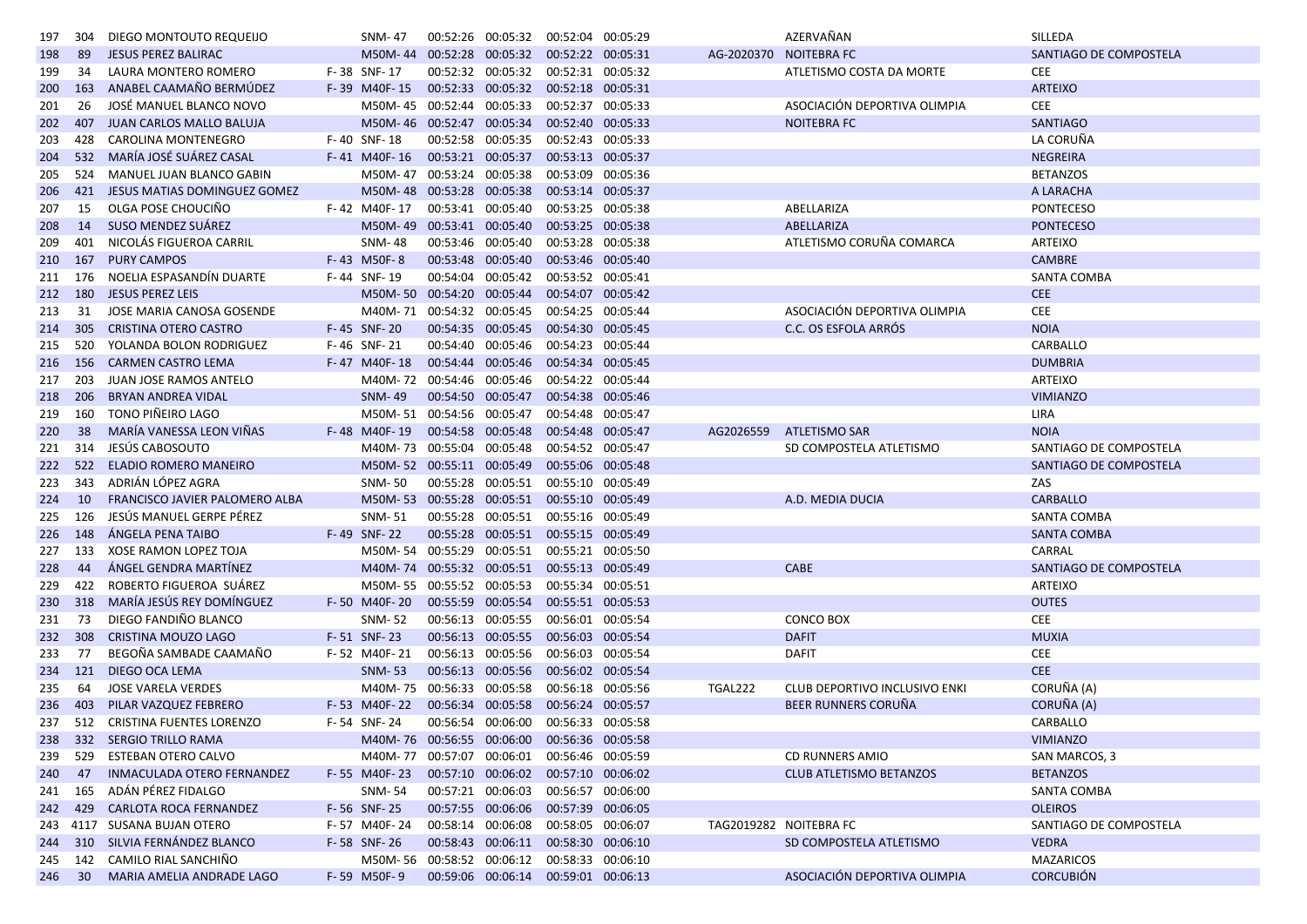| 197        | 304        | DIEGO MONTOUTO REQUEIJO             | SNM-47                                      |                   | 00:52:26 00:05:32 00:52:04 00:05:29 |                                        |                | AZERVAÑAN                                            | SILLEDA                        |
|------------|------------|-------------------------------------|---------------------------------------------|-------------------|-------------------------------------|----------------------------------------|----------------|------------------------------------------------------|--------------------------------|
| 198        | 89         | <b>JESUS PEREZ BALIRAC</b>          | M50M-44 00:52:28 00:05:32 00:52:22 00:05:31 |                   |                                     |                                        |                | AG-2020370 NOITEBRA FC                               | SANTIAGO DE COMPOSTELA         |
| 199        | 34         | LAURA MONTERO ROMERO                | F-38 SNF-17                                 |                   | 00:52:32 00:05:32 00:52:31 00:05:32 |                                        |                | ATLETISMO COSTA DA MORTE                             | <b>CEE</b>                     |
| 200        | 163        | ANABEL CAAMAÑO BERMÚDEZ             | F-39 M40F-15                                |                   | 00:52:33 00:05:32 00:52:18 00:05:31 |                                        |                |                                                      | <b>ARTEIXO</b>                 |
| 201        | 26         | JOSÉ MANUEL BLANCO NOVO             | M50M-45 00:52:44 00:05:33                   |                   |                                     | 00:52:37 00:05:33                      |                | ASOCIACIÓN DEPORTIVA OLIMPIA                         | <b>CEE</b>                     |
| 202        | - 407      | <b>JUAN CARLOS MALLO BALUJA</b>     | M50M-46 00:52:47 00:05:34 00:52:40 00:05:33 |                   |                                     |                                        |                | <b>NOITEBRA FC</b>                                   | <b>SANTIAGO</b>                |
| 203        | 428        | <b>CAROLINA MONTENEGRO</b>          | F-40 SNF-18                                 |                   | 00:52:58 00:05:35 00:52:43 00:05:33 |                                        |                |                                                      | LA CORUÑA                      |
| 204        | 532        | MARÍA JOSÉ SUÁREZ CASAL             | F-41 M40F-16                                | 00:53:21 00:05:37 |                                     | 00:53:13 00:05:37                      |                |                                                      | <b>NEGREIRA</b>                |
| 205        | 524        | MANUEL JUAN BLANCO GABIN            | M50M-47                                     | 00:53:24 00:05:38 |                                     | 00:53:09 00:05:36                      |                |                                                      | <b>BETANZOS</b>                |
| 206        | 421        | <b>JESUS MATIAS DOMINGUEZ GOMEZ</b> | M50M-48 00:53:28 00:05:38                   |                   |                                     | 00:53:14 00:05:37                      |                |                                                      | A LARACHA                      |
| 207        | 15         | OLGA POSE CHOUCINO                  | F-42 M40F-17                                |                   | 00:53:41 00:05:40                   | 00:53:25 00:05:38                      |                | ABELLARIZA                                           | <b>PONTECESO</b>               |
| 208        | 14         | SUSO MENDEZ SUÁREZ                  | M50M-49 00:53:41 00:05:40 00:53:25 00:05:38 |                   |                                     |                                        |                | ABELLARIZA                                           | <b>PONTECESO</b>               |
| 209        | 401        | NICOLÁS FIGUEROA CARRIL             | <b>SNM-48</b>                               |                   | 00:53:46 00:05:40 00:53:28 00:05:38 |                                        |                | ATLETISMO CORUÑA COMARCA                             | ARTEIXO                        |
| 210        | 167        | <b>PURY CAMPOS</b>                  | F-43 M50F-8                                 |                   | 00:53:48 00:05:40 00:53:46 00:05:40 |                                        |                |                                                      | <b>CAMBRE</b>                  |
| 211        | 176        | NOELIA ESPASANDÍN DUARTE            | F-44 SNF-19                                 |                   | 00:54:04 00:05:42 00:53:52 00:05:41 |                                        |                |                                                      | <b>SANTA COMBA</b>             |
| 212 180    |            | <b>JESUS PEREZ LEIS</b>             | M50M-50 00:54:20 00:05:44                   |                   |                                     | 00:54:07 00:05:42                      |                |                                                      | <b>CEE</b>                     |
| 213        | 31         | JOSE MARIA CANOSA GOSENDE           | M40M-71 00:54:32 00:05:45                   |                   |                                     | 00:54:25 00:05:44                      |                | ASOCIACIÓN DEPORTIVA OLIMPIA                         | <b>CEE</b>                     |
| 214        | 305        | <b>CRISTINA OTERO CASTRO</b>        | F-45 SNF-20                                 | 00:54:35 00:05:45 |                                     | 00:54:30 00:05:45                      |                | C.C. OS ESFOLA ARRÓS                                 | <b>NOIA</b>                    |
| 215        | 520        | YOLANDA BOLON RODRIGUEZ             | F-46 SNF-21                                 |                   | 00:54:40 00:05:46                   | 00:54:23 00:05:44                      |                |                                                      | CARBALLO                       |
| 216        | 156        | <b>CARMEN CASTRO LEMA</b>           | F-47 M40F-18                                | 00:54:44 00:05:46 |                                     | 00:54:34 00:05:45                      |                |                                                      | <b>DUMBRIA</b>                 |
| 217        | 203        | JUAN JOSE RAMOS ANTELO              | M40M-72                                     |                   | 00:54:46 00:05:46 00:54:22 00:05:44 |                                        |                |                                                      | <b>ARTEIXO</b>                 |
| 218        | 206        | <b>BRYAN ANDREA VIDAL</b>           | <b>SNM-49</b>                               | 00:54:50 00:05:47 |                                     | 00:54:38 00:05:46                      |                |                                                      | <b>VIMIANZO</b>                |
| 219        | 160        | TONO PIÑEIRO LAGO                   | M50M-51 00:54:56 00:05:47                   |                   |                                     | 00:54:48 00:05:47                      |                |                                                      | LIRA                           |
| 220        | 38         | MARÍA VANESSA LEON VIÑAS            | F-48 M40F-19                                | 00:54:58 00:05:48 |                                     | 00:54:48 00:05:47                      |                | AG2026559 ATLETISMO SAR                              | <b>NOIA</b>                    |
| 221        | 314        | JESÚS CABOSOUTO                     | M40M-73 00:55:04 00:05:48                   |                   |                                     | 00:54:52 00:05:47                      |                | SD COMPOSTELA ATLETISMO                              | SANTIAGO DE COMPOSTELA         |
| 222        | 522        | ELADIO ROMERO MANEIRO               | M50M-52 00:55:11 00:05:49 00:55:06 00:05:48 |                   |                                     |                                        |                |                                                      | SANTIAGO DE COMPOSTELA         |
| 223        | 343        | ADRIÁN LÓPEZ AGRA                   | SNM-50                                      | 00:55:28 00:05:51 |                                     | 00:55:10 00:05:49                      |                |                                                      | ZAS                            |
|            | 10         | FRANCISCO JAVIER PALOMERO ALBA      | M50M-53 00:55:28 00:05:51 00:55:10 00:05:49 |                   |                                     |                                        |                | A.D. MEDIA DUCIA                                     | <b>CARBALLO</b>                |
| 224<br>225 | 126        | JESÚS MANUEL GERPE PÉREZ            | <b>SNM-51</b>                               |                   | 00:55:28 00:05:51                   | 00:55:16 00:05:49                      |                |                                                      | SANTA COMBA                    |
|            |            | ÁNGELA PENA TAIBO                   | F-49 SNF-22                                 |                   | 00:55:28 00:05:51 00:55:15 00:05:49 |                                        |                |                                                      | <b>SANTA COMBA</b>             |
| 226        | 148<br>133 | <b>XOSE RAMON LOPEZ TOJA</b>        | M50M-54 00:55:29 00:05:51 00:55:21 00:05:50 |                   |                                     |                                        |                |                                                      | CARRAL                         |
| 227<br>228 | 44         | ÁNGEL GENDRA MARTÍNEZ               | M40M-74 00:55:32 00:05:51 00:55:13 00:05:49 |                   |                                     |                                        |                | <b>CABE</b>                                          | SANTIAGO DE COMPOSTELA         |
|            |            | ROBERTO FIGUEROA SUÁREZ             |                                             |                   |                                     |                                        |                |                                                      |                                |
| 229        | 422<br>318 | MARÍA JESÚS REY DOMÍNGUEZ           | M50M-55 00:55:52 00:05:53<br>F-50 M40F-20   |                   | 00:55:59 00:05:54                   | 00:55:34 00:05:51<br>00:55:51 00:05:53 |                |                                                      | <b>ARTEIXO</b><br><b>OUTES</b> |
| 230        | 73         | DIEGO FANDIÑO BLANCO                |                                             |                   | 00:56:13 00:05:55 00:56:01 00:05:54 |                                        |                |                                                      | <b>CEE</b>                     |
| 231        |            | CRISTINA MOUZO LAGO                 | <b>SNM-52</b>                               |                   |                                     | 00:56:03 00:05:54                      |                | <b>CONCO BOX</b>                                     | <b>MUXIA</b>                   |
| 232        | 308<br>-77 | BEGOÑA SAMBADE CAAMAÑO              | F-51 SNF-23                                 |                   | 00:56:13 00:05:55                   |                                        |                | <b>DAFIT</b>                                         | <b>CEE</b>                     |
| 233        |            | <b>DIEGO OCA LEMA</b>               | F-52 M40F-21                                |                   | 00:56:13 00:05:56 00:56:03 00:05:54 |                                        |                | <b>DAFIT</b>                                         | <b>CEE</b>                     |
| 234        | 121        |                                     | <b>SNM-53</b>                               |                   | 00:56:13 00:05:56 00:56:02 00:05:54 |                                        |                |                                                      |                                |
| 235        | 64         | <b>JOSE VARELA VERDES</b>           | M40M-75 00:56:33 00:05:58                   |                   |                                     | 00:56:18 00:05:56                      | <b>TGAL222</b> | CLUB DEPORTIVO INCLUSIVO ENKI<br>BEER RUNNERS CORUÑA | CORUÑA (A)                     |
| 236        |            | 403 PILAR VAZQUEZ FEBRERO           | F-53 M40F-22                                |                   | 00:56:34 00:05:58 00:56:24 00:05:57 |                                        |                |                                                      | CORUÑA (A)                     |
|            |            | 237 512 CRISTINA FUENTES LORENZO    | F-54 SNF-24                                 |                   | 00:56:54 00:06:00 00:56:33 00:05:58 |                                        |                |                                                      | CARBALLO                       |
| 238        |            | 332 SERGIO TRILLO RAMA              | M40M-76 00:56:55 00:06:00 00:56:36 00:05:58 |                   |                                     |                                        |                |                                                      | <b>VIMIANZO</b>                |
| 239        | 529        | <b>ESTEBAN OTERO CALVO</b>          | M40M-77 00:57:07 00:06:01                   |                   |                                     | 00:56:46 00:05:59                      |                | <b>CD RUNNERS AMIO</b>                               | SAN MARCOS, 3                  |
| 240        | 47         | INMACULADA OTERO FERNANDEZ          | F-55 M40F-23                                |                   | 00:57:10 00:06:02 00:57:10 00:06:02 |                                        |                | <b>CLUB ATLETISMO BETANZOS</b>                       | <b>BETANZOS</b>                |
| 241        | 165        | ADÁN PÉREZ FIDALGO                  | SNM-54                                      | 00:57:21 00:06:03 |                                     | 00:56:57 00:06:00                      |                |                                                      | SANTA COMBA                    |
| 242        | 429        | <b>CARLOTA ROCA FERNANDEZ</b>       | F-56 SNF-25                                 |                   | 00:57:55 00:06:06 00:57:39 00:06:05 |                                        |                |                                                      | <b>OLEIROS</b>                 |
|            |            | 243 4117 SUSANA BUJAN OTERO         | F-57 M40F-24                                |                   | 00:58:14 00:06:08 00:58:05 00:06:07 |                                        |                | TAG2019282 NOITEBRA FC                               | SANTIAGO DE COMPOSTELA         |
| 244        | 310        | SILVIA FERNÁNDEZ BLANCO             | F-58 SNF-26                                 |                   | 00:58:43 00:06:11 00:58:30 00:06:10 |                                        |                | SD COMPOSTELA ATLETISMO                              | <b>VEDRA</b>                   |
| 245        | 142        | CAMILO RIAL SANCHIÑO                | M50M-56 00:58:52 00:06:12 00:58:33 00:06:10 |                   |                                     |                                        |                |                                                      | <b>MAZARICOS</b>               |
| 246        | 30         | MARIA AMELIA ANDRADE LAGO           | F-59 M50F-9                                 |                   | 00:59:06 00:06:14 00:59:01 00:06:13 |                                        |                | ASOCIACIÓN DEPORTIVA OLIMPIA                         | <b>CORCUBIÓN</b>               |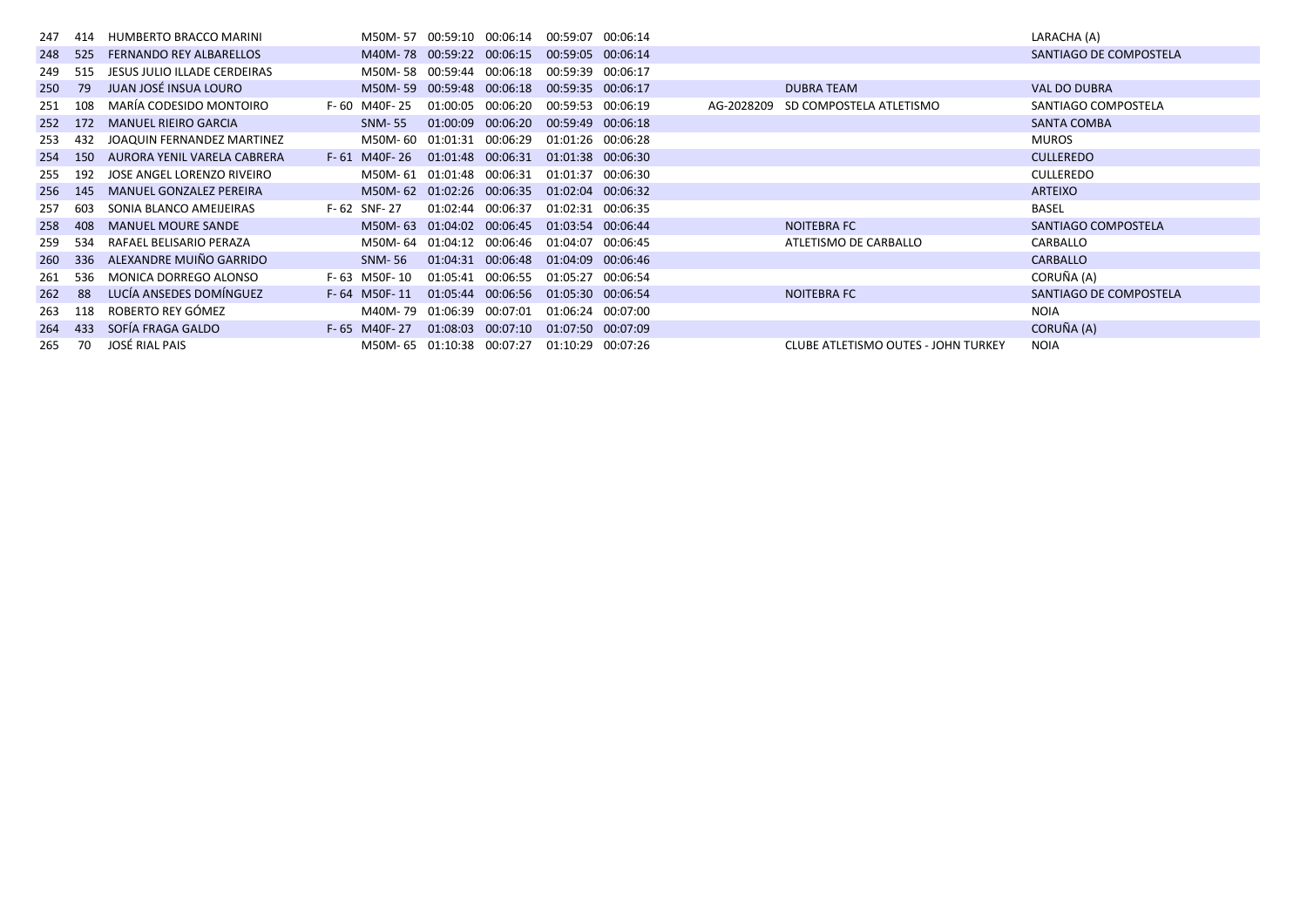| 247 | 414 | HUMBERTO BRACCO MARINI         | M50M-57 00:59:10 00:06:14                        |                   |                                     | 00:59:07 00:06:14 |            |                                     | LARACHA (A)            |
|-----|-----|--------------------------------|--------------------------------------------------|-------------------|-------------------------------------|-------------------|------------|-------------------------------------|------------------------|
| 248 | 525 | <b>FERNANDO REY ALBARELLOS</b> | M40M-78 00:59:22 00:06:15                        |                   |                                     | 00:59:05 00:06:14 |            |                                     | SANTIAGO DE COMPOSTELA |
| 249 | 515 | JESUS JULIO ILLADE CERDEIRAS   | M50M-58 00:59:44 00:06:18 00:59:39 00:06:17      |                   |                                     |                   |            |                                     |                        |
| 250 | 79  | JUAN JOSÉ INSUA LOURO          | M50M-59 00:59:48 00:06:18                        |                   |                                     | 00:59:35 00:06:17 |            | <b>DUBRA TEAM</b>                   | <b>VAL DO DUBRA</b>    |
| 251 | 108 | MARÍA CODESIDO MONTOIRO        | F-60 M40F-25                                     |                   | 01:00:05 00:06:20                   | 00:59:53 00:06:19 | AG-2028209 | SD COMPOSTELA ATLETISMO             | SANTIAGO COMPOSTELA    |
| 252 | 172 | <b>MANUEL RIEIRO GARCIA</b>    | <b>SNM-55</b>                                    |                   | 01:00:09 00:06:20 00:59:49 00:06:18 |                   |            |                                     | <b>SANTA COMBA</b>     |
| 253 | 432 | JOAQUIN FERNANDEZ MARTINEZ     | M50M-60 01:01:31 00:06:29 01:01:26 00:06:28      |                   |                                     |                   |            |                                     | <b>MUROS</b>           |
| 254 | 150 | AURORA YENIL VARELA CABRERA    | F-61 M40F-26 01:01:48 00:06:31 01:01:38 00:06:30 |                   |                                     |                   |            |                                     | <b>CULLEREDO</b>       |
| 255 | 192 | JOSE ANGEL LORENZO RIVEIRO     | M50M-61 01:01:48 00:06:31                        |                   |                                     | 01:01:37 00:06:30 |            |                                     | <b>CULLEREDO</b>       |
| 256 | 145 | <b>MANUEL GONZALEZ PEREIRA</b> | M50M-62 01:02:26 00:06:35                        |                   |                                     | 01:02:04 00:06:32 |            |                                     | <b>ARTEIXO</b>         |
| 257 | 603 | SONIA BLANCO AMEIJEIRAS        | $F - 62$ SNF-27                                  | 01:02:44 00:06:37 |                                     | 01:02:31 00:06:35 |            |                                     | <b>BASEL</b>           |
| 258 | 408 | <b>MANUEL MOURE SANDE</b>      | M50M-63 01:04:02 00:06:45                        |                   |                                     | 01:03:54 00:06:44 |            | <b>NOITEBRA FC</b>                  | SANTIAGO COMPOSTELA    |
| 259 | 534 | RAFAEL BELISARIO PERAZA        | M50M-64 01:04:12 00:06:46 01:04:07 00:06:45      |                   |                                     |                   |            | ATLETISMO DE CARBALLO               | CARBALLO               |
| 260 | 336 | ALEXANDRE MUIÑO GARRIDO        | SNM-56                                           |                   | 01:04:31 00:06:48                   | 01:04:09 00:06:46 |            |                                     | CARBALLO               |
| 261 | 536 | MONICA DORREGO ALONSO          | F-63 M50F-10                                     |                   | 01:05:41 00:06:55                   | 01:05:27 00:06:54 |            |                                     | CORUÑA (A)             |
| 262 | 88  | LUCÍA ANSEDES DOMÍNGUEZ        | F-64 M50F-11                                     |                   | 01:05:44 00:06:56                   | 01:05:30 00:06:54 |            | <b>NOITEBRA FC</b>                  | SANTIAGO DE COMPOSTELA |
| 263 | 118 | ROBERTO REY GÓMEZ              | M40M-79 01:06:39 00:07:01                        |                   |                                     | 01:06:24 00:07:00 |            |                                     | <b>NOIA</b>            |
| 264 | 433 | SOFÍA FRAGA GALDO              | F-65 M40F-27                                     |                   | 01:08:03 00:07:10                   | 01:07:50 00:07:09 |            |                                     | CORUÑA (A)             |
| 265 | 70  | JOSÉ RIAL PAIS                 | M50M-65 01:10:38 00:07:27                        |                   |                                     | 01:10:29 00:07:26 |            | CLUBE ATLETISMO OUTES - JOHN TURKEY | <b>NOIA</b>            |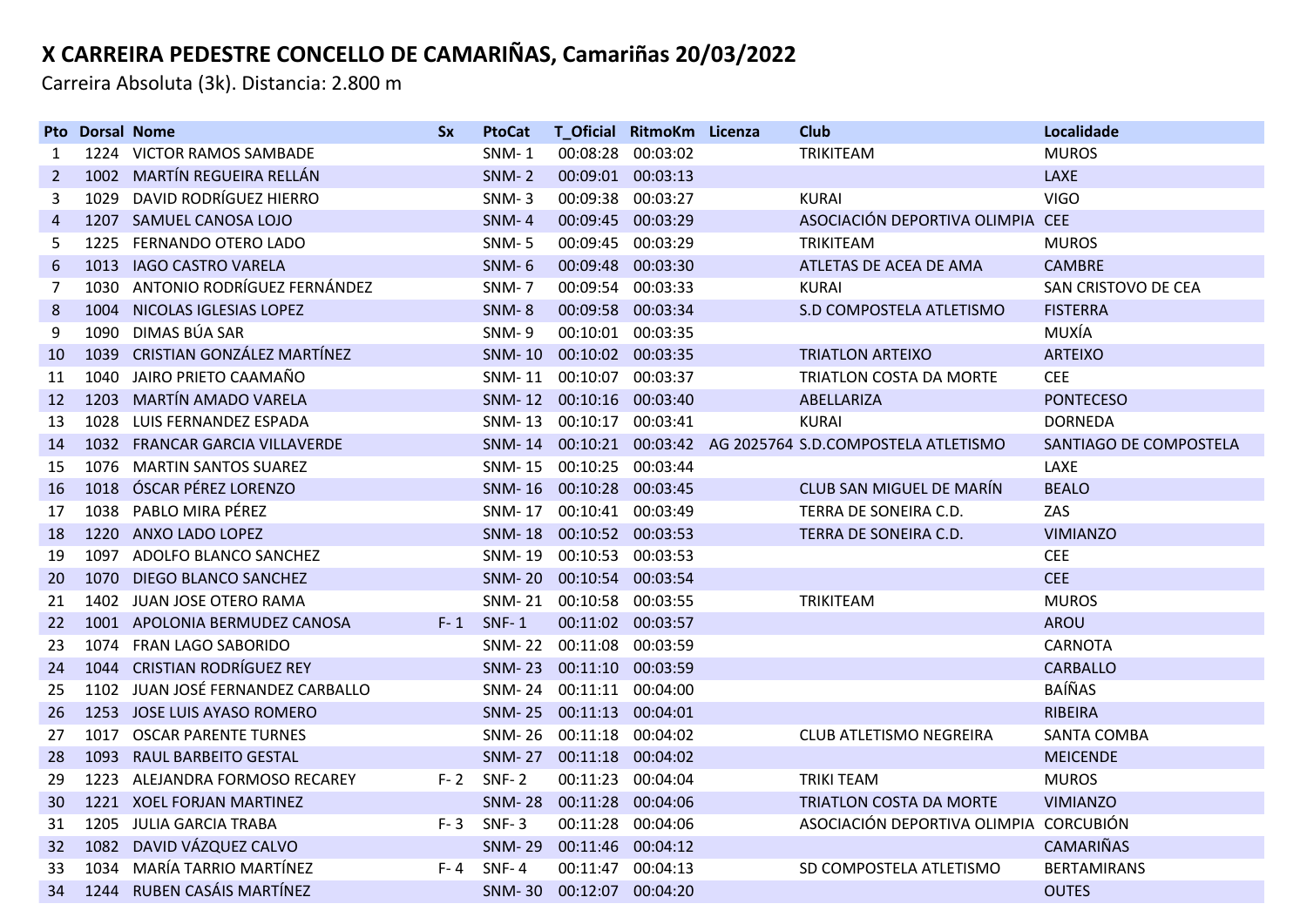Carreira Absoluta (3k). Distancia: 2.800 m

|              | <b>Pto Dorsal Nome</b> |                                   | <b>Sx</b> | <b>PtoCat</b> |                          | T_Oficial RitmoKm Licenza | <b>Club</b>                                                  | Localidade             |
|--------------|------------------------|-----------------------------------|-----------|---------------|--------------------------|---------------------------|--------------------------------------------------------------|------------------------|
| 1            |                        | 1224 VICTOR RAMOS SAMBADE         |           | $SNM-1$       | 00:08:28 00:03:02        |                           | <b>TRIKITEAM</b>                                             | <b>MUROS</b>           |
| $\mathbf{2}$ |                        | 1002 MARTÍN REGUEIRA RELLÁN       |           | <b>SNM-2</b>  | 00:09:01 00:03:13        |                           |                                                              | <b>LAXE</b>            |
| 3            |                        | 1029 DAVID RODRÍGUEZ HIERRO       |           | <b>SNM-3</b>  | 00:09:38 00:03:27        |                           | <b>KURAI</b>                                                 | <b>VIGO</b>            |
| 4            |                        | 1207 SAMUEL CANOSA LOJO           |           | <b>SNM-4</b>  | 00:09:45 00:03:29        |                           | ASOCIACIÓN DEPORTIVA OLIMPIA CEE                             |                        |
| 5.           |                        | 1225 FERNANDO OTERO LADO          |           | <b>SNM-5</b>  | 00:09:45 00:03:29        |                           | <b>TRIKITEAM</b>                                             | <b>MUROS</b>           |
| 6            |                        | 1013 IAGO CASTRO VARELA           |           | <b>SNM-6</b>  | 00:09:48 00:03:30        |                           | ATLETAS DE ACEA DE AMA                                       | <b>CAMBRE</b>          |
| 7            |                        | 1030 ANTONIO RODRÍGUEZ FERNÁNDEZ  |           | <b>SNM-7</b>  | 00:09:54 00:03:33        |                           | <b>KURAI</b>                                                 | SAN CRISTOVO DE CEA    |
| 8            |                        | 1004 NICOLAS IGLESIAS LOPEZ       |           | <b>SNM-8</b>  | 00:09:58 00:03:34        |                           | S.D COMPOSTELA ATLETISMO                                     | <b>FISTERRA</b>        |
| 9            | 1090                   | DIMAS BÚA SAR                     |           | <b>SNM-9</b>  | 00:10:01 00:03:35        |                           |                                                              | MUXÍA                  |
| 10           | 1039                   | <b>CRISTIAN GONZÁLEZ MARTÍNEZ</b> |           | <b>SNM-10</b> | 00:10:02 00:03:35        |                           | <b>TRIATLON ARTEIXO</b>                                      | <b>ARTEIXO</b>         |
| 11           |                        | 1040 JAIRO PRIETO CAAMAÑO         |           |               | SNM-11 00:10:07 00:03:37 |                           | TRIATLON COSTA DA MORTE                                      | <b>CEE</b>             |
| 12           | 1203                   | <b>MARTÍN AMADO VARELA</b>        |           |               | SNM-12 00:10:16 00:03:40 |                           | ABELLARIZA                                                   | <b>PONTECESO</b>       |
| 13           | 1028                   | LUIS FERNANDEZ ESPADA             |           | SNM- 13       | 00:10:17 00:03:41        |                           | <b>KURAI</b>                                                 | <b>DORNEDA</b>         |
| 14           |                        | 1032 FRANCAR GARCIA VILLAVERDE    |           |               |                          |                           | SNM-14 00:10:21 00:03:42 AG 2025764 S.D.COMPOSTELA ATLETISMO | SANTIAGO DE COMPOSTELA |
| 15           |                        | 1076 MARTIN SANTOS SUAREZ         |           |               | SNM-15 00:10:25 00:03:44 |                           |                                                              | LAXE                   |
| 16           |                        | 1018 ÓSCAR PÉREZ LORENZO          |           |               | SNM-16 00:10:28 00:03:45 |                           | CLUB SAN MIGUEL DE MARÍN                                     | <b>BEALO</b>           |
| 17           |                        | 1038 PABLO MIRA PÉREZ             |           |               | SNM-17 00:10:41 00:03:49 |                           | TERRA DE SONEIRA C.D.                                        | ZAS                    |
| 18           |                        | 1220 ANXO LADO LOPEZ              |           |               | SNM-18 00:10:52 00:03:53 |                           | TERRA DE SONEIRA C.D.                                        | <b>VIMIANZO</b>        |
| 19           |                        | 1097 ADOLFO BLANCO SANCHEZ        |           |               | SNM-19 00:10:53 00:03:53 |                           |                                                              | <b>CEE</b>             |
| 20           |                        | 1070 DIEGO BLANCO SANCHEZ         |           | <b>SNM-20</b> | 00:10:54 00:03:54        |                           |                                                              | <b>CEE</b>             |
| 21           |                        | 1402 JUAN JOSE OTERO RAMA         |           | <b>SNM-21</b> | 00:10:58 00:03:55        |                           | <b>TRIKITEAM</b>                                             | <b>MUROS</b>           |
| 22           |                        | 1001 APOLONIA BERMUDEZ CANOSA     |           | F-1 SNF-1     | 00:11:02 00:03:57        |                           |                                                              | <b>AROU</b>            |
| 23           |                        | 1074 FRAN LAGO SABORIDO           |           |               | SNM-22 00:11:08 00:03:59 |                           |                                                              | <b>CARNOTA</b>         |
| 24           |                        | 1044 CRISTIAN RODRÍGUEZ REY       |           |               | SNM-23 00:11:10 00:03:59 |                           |                                                              | <b>CARBALLO</b>        |
| 25           |                        | 1102 JUAN JOSÉ FERNANDEZ CARBALLO |           | <b>SNM-24</b> | 00:11:11 00:04:00        |                           |                                                              | <b>BAÍÑAS</b>          |
| 26           |                        | 1253 JOSE LUIS AYASO ROMERO       |           | SNM-25        | 00:11:13 00:04:01        |                           |                                                              | <b>RIBEIRA</b>         |
| 27           |                        | 1017 OSCAR PARENTE TURNES         |           | SNM-26        | 00:11:18 00:04:02        |                           | CLUB ATLETISMO NEGREIRA                                      | <b>SANTA COMBA</b>     |
| 28           |                        | 1093 RAUL BARBEITO GESTAL         |           | SNM- 27       | 00:11:18 00:04:02        |                           |                                                              | <b>MEICENDE</b>        |
| 29           |                        | 1223 ALEJANDRA FORMOSO RECAREY    |           | $F-2$ SNF-2   | 00:11:23 00:04:04        |                           | <b>TRIKI TEAM</b>                                            | <b>MUROS</b>           |
| 30           |                        | 1221 XOEL FORJAN MARTINEZ         |           | <b>SNM-28</b> | 00:11:28 00:04:06        |                           | <b>TRIATLON COSTA DA MORTE</b>                               | <b>VIMIANZO</b>        |
| 31           |                        | 1205 JULIA GARCIA TRABA           |           | $F-3$ SNF-3   | 00:11:28 00:04:06        |                           | ASOCIACIÓN DEPORTIVA OLIMPIA CORCUBIÓN                       |                        |
| 32           | 1082                   | DAVID VÁZQUEZ CALVO               |           | <b>SNM-29</b> | 00:11:46 00:04:12        |                           |                                                              | <b>CAMARIÑAS</b>       |
| 33           |                        | 1034 MARÍA TARRIO MARTÍNEZ        | F-4       | SNF-4         | 00:11:47 00:04:13        |                           | SD COMPOSTELA ATLETISMO                                      | <b>BERTAMIRANS</b>     |
| 34           |                        | 1244 RUBEN CASÁIS MARTÍNEZ        |           |               | SNM-30 00:12:07 00:04:20 |                           |                                                              | <b>OUTES</b>           |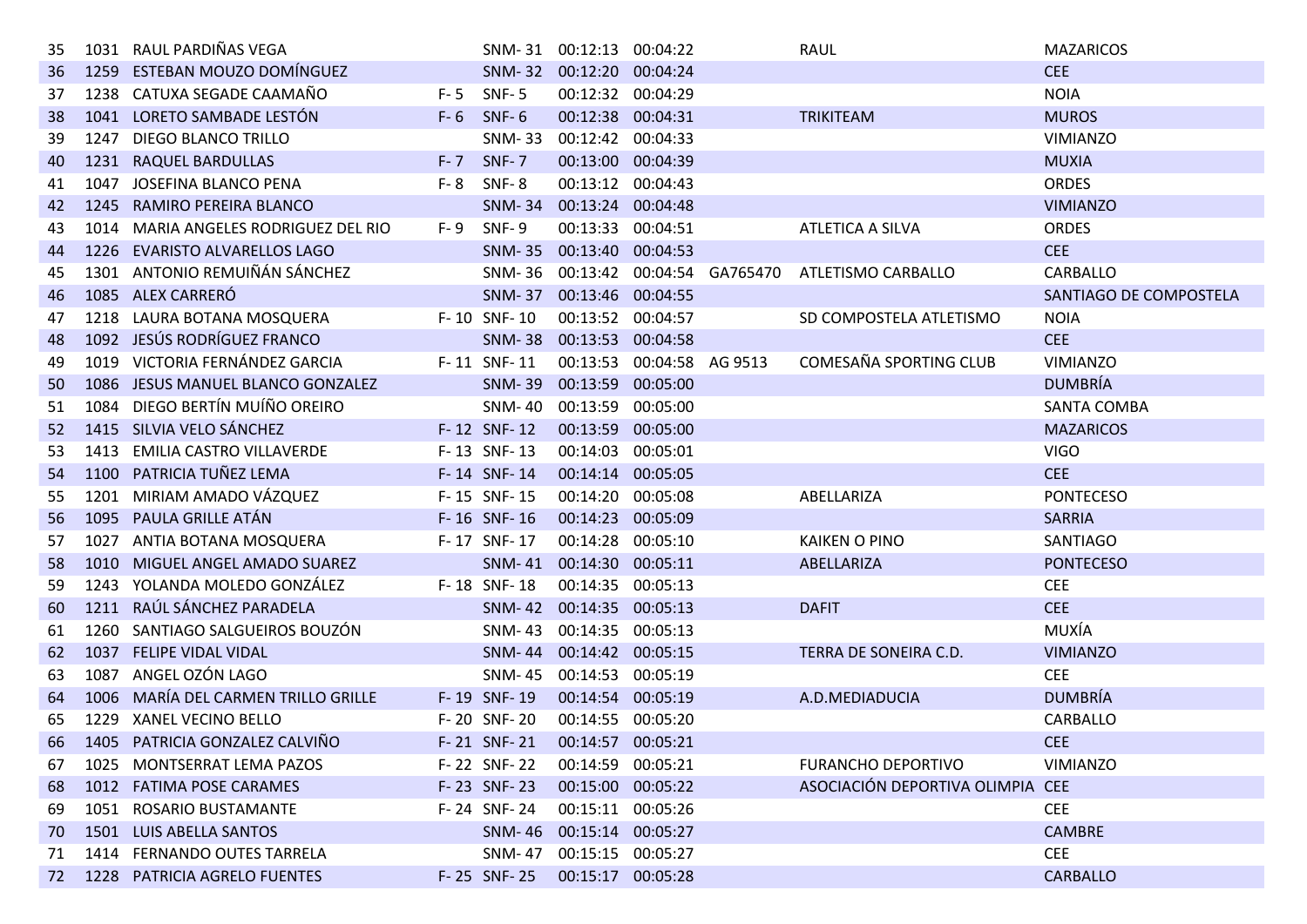| 35 |      | 1031 RAUL PARDIÑAS VEGA              |         |               | SNM-31 00:12:13 00:04:22  |  | RAUL                                                 | <b>MAZARICOS</b>       |
|----|------|--------------------------------------|---------|---------------|---------------------------|--|------------------------------------------------------|------------------------|
| 36 |      | 1259 ESTEBAN MOUZO DOMÍNGUEZ         |         |               | SNM-32 00:12:20 00:04:24  |  |                                                      | <b>CEE</b>             |
| 37 |      | 1238 CATUXA SEGADE CAAMAÑO           |         | F-5 SNF-5     | 00:12:32 00:04:29         |  |                                                      | <b>NOIA</b>            |
| 38 |      | 1041 LORETO SAMBADE LESTÓN           |         | $F - 6$ SNF-6 | 00:12:38 00:04:31         |  | <b>TRIKITEAM</b>                                     | <b>MUROS</b>           |
| 39 | 1247 | DIEGO BLANCO TRILLO                  |         | <b>SNM-33</b> | 00:12:42 00:04:33         |  |                                                      | <b>VIMIANZO</b>        |
| 40 |      | 1231 RAQUEL BARDULLAS                |         | F-7 SNF-7     | 00:13:00 00:04:39         |  |                                                      | <b>MUXIA</b>           |
| 41 | 1047 | JOSEFINA BLANCO PENA                 | $F - 8$ | <b>SNF-8</b>  | 00:13:12 00:04:43         |  |                                                      | <b>ORDES</b>           |
| 42 |      | 1245 RAMIRO PEREIRA BLANCO           |         | <b>SNM-34</b> | 00:13:24 00:04:48         |  |                                                      | <b>VIMIANZO</b>        |
| 43 |      | 1014 MARIA ANGELES RODRIGUEZ DEL RIO | F-9     | <b>SNF-9</b>  | 00:13:33 00:04:51         |  | ATLETICA A SILVA                                     | <b>ORDES</b>           |
| 44 |      | 1226 EVARISTO ALVARELLOS LAGO        |         |               | SNM-35 00:13:40 00:04:53  |  |                                                      | <b>CEE</b>             |
| 45 |      | 1301 ANTONIO REMUIÑÁN SÁNCHEZ        |         |               |                           |  | SNM-36 00:13:42 00:04:54 GA765470 ATLETISMO CARBALLO | CARBALLO               |
| 46 |      | 1085 ALEX CARRERÓ                    |         |               | SNM-37 00:13:46 00:04:55  |  |                                                      | SANTIAGO DE COMPOSTELA |
| 47 |      | 1218 LAURA BOTANA MOSQUERA           |         | F-10 SNF-10   | 00:13:52 00:04:57         |  | SD COMPOSTELA ATLETISMO                              | <b>NOIA</b>            |
| 48 |      | 1092 JESÚS RODRÍGUEZ FRANCO          |         |               | SNM-38 00:13:53 00:04:58  |  |                                                      | <b>CEE</b>             |
| 49 |      | 1019 VICTORIA FERNÁNDEZ GARCIA       |         | F-11 SNF-11   | 00:13:53 00:04:58 AG 9513 |  | COMESAÑA SPORTING CLUB                               | <b>VIMIANZO</b>        |
| 50 |      | 1086 JESUS MANUEL BLANCO GONZALEZ    |         | <b>SNM-39</b> | 00:13:59 00:05:00         |  |                                                      | <b>DUMBRÍA</b>         |
| 51 |      | 1084 DIEGO BERTÍN MUÍÑO OREIRO       |         | <b>SNM-40</b> | 00:13:59 00:05:00         |  |                                                      | <b>SANTA COMBA</b>     |
| 52 |      | 1415 SILVIA VELO SÁNCHEZ             |         | F-12 SNF-12   | 00:13:59 00:05:00         |  |                                                      | <b>MAZARICOS</b>       |
| 53 |      | 1413 EMILIA CASTRO VILLAVERDE        |         | F-13 SNF-13   | 00:14:03 00:05:01         |  |                                                      | <b>VIGO</b>            |
| 54 |      | 1100 PATRICIA TUÑEZ LEMA             |         | F-14 SNF-14   | 00:14:14 00:05:05         |  |                                                      | <b>CEE</b>             |
| 55 |      | 1201 MIRIAM AMADO VÁZQUEZ            |         | F-15 SNF-15   | 00:14:20 00:05:08         |  | ABELLARIZA                                           | <b>PONTECESO</b>       |
| 56 |      | 1095 PAULA GRILLE ATÁN               |         | F-16 SNF-16   | 00:14:23 00:05:09         |  |                                                      | <b>SARRIA</b>          |
| 57 |      | 1027 ANTIA BOTANA MOSQUERA           |         | F-17 SNF-17   | 00:14:28 00:05:10         |  | <b>KAIKEN O PINO</b>                                 | <b>SANTIAGO</b>        |
| 58 |      | 1010 MIGUEL ANGEL AMADO SUAREZ       |         |               | SNM-41 00:14:30 00:05:11  |  | ABELLARIZA                                           | <b>PONTECESO</b>       |
| 59 |      | 1243 YOLANDA MOLEDO GONZÁLEZ         |         | F-18 SNF-18   | 00:14:35 00:05:13         |  |                                                      | <b>CEE</b>             |
| 60 |      | 1211 RAÚL SÁNCHEZ PARADELA           |         |               | SNM-42 00:14:35 00:05:13  |  | <b>DAFIT</b>                                         | <b>CEE</b>             |
| 61 |      | 1260 SANTIAGO SALGUEIROS BOUZÓN      |         |               | SNM-43 00:14:35 00:05:13  |  |                                                      | MUXÍA                  |
| 62 | 1037 | <b>FELIPE VIDAL VIDAL</b>            |         | <b>SNM-44</b> | 00:14:42 00:05:15         |  | TERRA DE SONEIRA C.D.                                | <b>VIMIANZO</b>        |
| 63 | 1087 | ANGEL OZÓN LAGO                      |         |               | SNM-45 00:14:53 00:05:19  |  |                                                      | <b>CEE</b>             |
| 64 |      | 1006 MARÍA DEL CARMEN TRILLO GRILLE  |         | F-19 SNF-19   | 00:14:54 00:05:19         |  | A.D.MEDIADUCIA                                       | <b>DUMBRÍA</b>         |
| 65 |      | 1229 XANEL VECINO BELLO              |         | F-20 SNF-20   | 00:14:55 00:05:20         |  |                                                      | CARBALLO               |
| 66 |      | 1405 PATRICIA GONZALEZ CALVIÑO       |         | F-21 SNF-21   | 00:14:57 00:05:21         |  |                                                      | <b>CEE</b>             |
| 67 |      | 1025 MONTSERRAT LEMA PAZOS           |         | F-22 SNF-22   | 00:14:59 00:05:21         |  | <b>FURANCHO DEPORTIVO</b>                            | <b>VIMIANZO</b>        |
| 68 |      | 1012 FATIMA POSE CARAMES             |         | F-23 SNF-23   | 00:15:00 00:05:22         |  | ASOCIACIÓN DEPORTIVA OLIMPIA CEE                     |                        |
| 69 |      | 1051 ROSARIO BUSTAMANTE              |         | F-24 SNF-24   | 00:15:11 00:05:26         |  |                                                      | <b>CEE</b>             |
| 70 |      | 1501 LUIS ABELLA SANTOS              |         |               | SNM-46 00:15:14 00:05:27  |  |                                                      | <b>CAMBRE</b>          |
| 71 |      | 1414 FERNANDO OUTES TARRELA          |         |               | SNM-47 00:15:15 00:05:27  |  |                                                      | <b>CEE</b>             |
| 72 |      | 1228 PATRICIA AGRELO FUENTES         |         | F-25 SNF-25   | 00:15:17 00:05:28         |  |                                                      | <b>CARBALLO</b>        |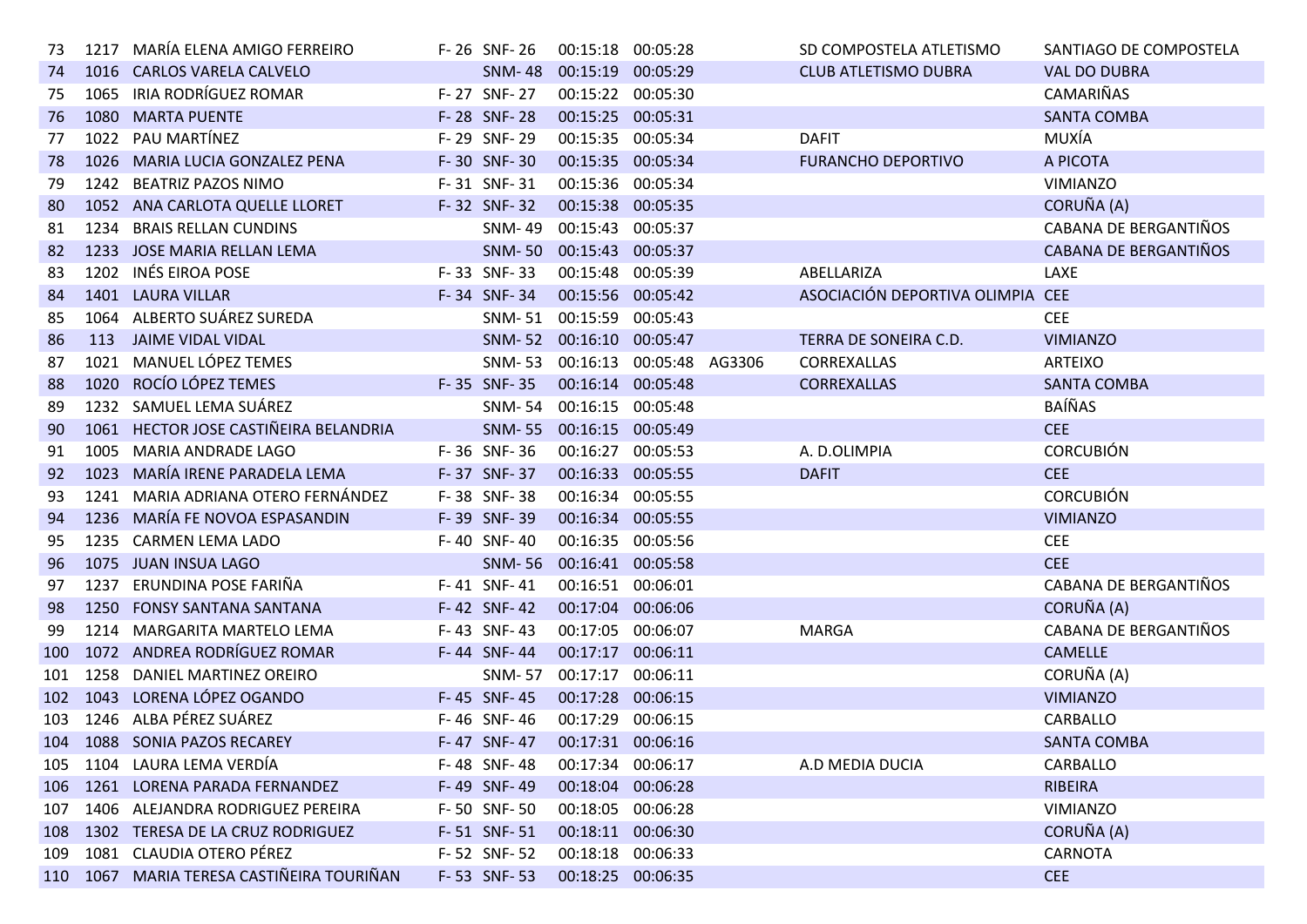| 73         | 1217 | MARÍA ELENA AMIGO FERREIRO                | F-26 SNF-26   | 00:15:18 00:05:28 |          |        | SD COMPOSTELA ATLETISMO          | SANTIAGO DE COMPOSTELA |
|------------|------|-------------------------------------------|---------------|-------------------|----------|--------|----------------------------------|------------------------|
| 74         |      | 1016 CARLOS VARELA CALVELO                | <b>SNM-48</b> | 00:15:19 00:05:29 |          |        | <b>CLUB ATLETISMO DUBRA</b>      | <b>VAL DO DUBRA</b>    |
| 75         |      | 1065 IRIA RODRÍGUEZ ROMAR                 | F-27 SNF-27   | 00:15:22 00:05:30 |          |        |                                  | CAMARIÑAS              |
| 76         | 1080 | <b>MARTA PUENTE</b>                       | F-28 SNF-28   | 00:15:25 00:05:31 |          |        |                                  | <b>SANTA COMBA</b>     |
| 77         | 1022 | PAU MARTÍNEZ                              | F-29 SNF-29   | 00:15:35          | 00:05:34 |        | <b>DAFIT</b>                     | MUXÍA                  |
| 78         | 1026 | MARIA LUCIA GONZALEZ PENA                 | F-30 SNF-30   | 00:15:35 00:05:34 |          |        | <b>FURANCHO DEPORTIVO</b>        | A PICOTA               |
| 79         | 1242 | <b>BEATRIZ PAZOS NIMO</b>                 | F-31 SNF-31   | 00:15:36 00:05:34 |          |        |                                  | <b>VIMIANZO</b>        |
| 80         |      | 1052 ANA CARLOTA QUELLE LLORET            | F-32 SNF-32   | 00:15:38 00:05:35 |          |        |                                  | CORUÑA (A)             |
| 81         | 1234 | <b>BRAIS RELLAN CUNDINS</b>               | SNM-49        | 00:15:43 00:05:37 |          |        |                                  | CABANA DE BERGANTIÑOS  |
| 82         |      | 1233 JOSE MARIA RELLAN LEMA               | <b>SNM-50</b> | 00:15:43 00:05:37 |          |        |                                  | CABANA DE BERGANTIÑOS  |
| 83         |      | 1202 INÉS EIROA POSE                      | F-33 SNF-33   | 00:15:48 00:05:39 |          |        | ABELLARIZA                       | LAXE                   |
| 84         |      | 1401 LAURA VILLAR                         | F-34 SNF-34   | 00:15:56 00:05:42 |          |        | ASOCIACIÓN DEPORTIVA OLIMPIA CEE |                        |
| 85         |      | 1064 ALBERTO SUÁREZ SUREDA                | SNM-51        | 00:15:59 00:05:43 |          |        |                                  | <b>CEE</b>             |
| 86         | 113  | <b>JAIME VIDAL VIDAL</b>                  | <b>SNM-52</b> | 00:16:10 00:05:47 |          |        | TERRA DE SONEIRA C.D.            | <b>VIMIANZO</b>        |
| 87         | 1021 | MANUEL LÓPEZ TEMES                        | <b>SNM-53</b> | 00:16:13 00:05:48 |          | AG3306 | CORREXALLAS                      | <b>ARTEIXO</b>         |
| 88         | 1020 | ROCÍO LÓPEZ TEMES                         | F-35 SNF-35   | 00:16:14 00:05:48 |          |        | <b>CORREXALLAS</b>               | <b>SANTA COMBA</b>     |
| 89         |      | 1232 SAMUEL LEMA SUÁREZ                   | <b>SNM-54</b> | 00:16:15 00:05:48 |          |        |                                  | BAÍÑAS                 |
| 90         |      | 1061 HECTOR JOSE CASTIÑEIRA BELANDRIA     | <b>SNM-55</b> | 00:16:15 00:05:49 |          |        |                                  | <b>CEE</b>             |
| 91         | 1005 | MARIA ANDRADE LAGO                        | F-36 SNF-36   | 00:16:27          | 00:05:53 |        | A. D.OLIMPIA                     | <b>CORCUBIÓN</b>       |
| 92         |      | 1023 MARÍA IRENE PARADELA LEMA            | F-37 SNF-37   | 00:16:33 00:05:55 |          |        | <b>DAFIT</b>                     | <b>CEE</b>             |
| 93         | 1241 | MARIA ADRIANA OTERO FERNÁNDEZ             | F-38 SNF-38   | 00:16:34 00:05:55 |          |        |                                  | <b>CORCUBIÓN</b>       |
| 94         | 1236 | MARÍA FE NOVOA ESPASANDIN                 | F-39 SNF-39   | 00:16:34 00:05:55 |          |        |                                  | <b>VIMIANZO</b>        |
| 95         |      | 1235 CARMEN LEMA LADO                     | F-40 SNF-40   | 00:16:35 00:05:56 |          |        |                                  | <b>CEE</b>             |
| -96        |      | 1075 JUAN INSUA LAGO                      | <b>SNM-56</b> | 00:16:41 00:05:58 |          |        |                                  | <b>CEE</b>             |
| 97         | 1237 | ERUNDINA POSE FARIÑA                      | F-41 SNF-41   | 00:16:51 00:06:01 |          |        |                                  | CABANA DE BERGANTIÑOS  |
| 98         | 1250 | <b>FONSY SANTANA SANTANA</b>              | F-42 SNF-42   | 00:17:04 00:06:06 |          |        |                                  | CORUÑA (A)             |
| 99         |      | 1214 MARGARITA MARTELO LEMA               | F-43 SNF-43   | 00:17:05 00:06:07 |          |        | <b>MARGA</b>                     | CABANA DE BERGANTIÑOS  |
| 100        |      | 1072 ANDREA RODRÍGUEZ ROMAR               | F-44 SNF-44   | 00:17:17 00:06:11 |          |        |                                  | <b>CAMELLE</b>         |
| 101        | 1258 | DANIEL MARTINEZ OREIRO                    | <b>SNM-57</b> | 00:17:17          | 00:06:11 |        |                                  | CORUÑA (A)             |
| 102        |      | 1043 LORENA LÓPEZ OGANDO                  | F-45 SNF-45   | 00:17:28 00:06:15 |          |        |                                  | <b>VIMIANZO</b>        |
|            |      | 103 1246 ALBA PÉREZ SUÁREZ                | F-46 SNF-46   | 00:17:29 00:06:15 |          |        |                                  | CARBALLO               |
| 104        |      | 1088 SONIA PAZOS RECAREY                  | F-47 SNF-47   | 00:17:31 00:06:16 |          |        |                                  | <b>SANTA COMBA</b>     |
| 105        |      | 1104 LAURA LEMA VERDÍA                    | F-48 SNF-48   | 00:17:34 00:06:17 |          |        | A.D MEDIA DUCIA                  | CARBALLO               |
| <b>106</b> | 1261 | LORENA PARADA FERNANDEZ                   | F-49 SNF-49   | 00:18:04 00:06:28 |          |        |                                  | RIBEIRA                |
| 107        |      | 1406 ALEJANDRA RODRIGUEZ PEREIRA          | F-50 SNF-50   | 00:18:05 00:06:28 |          |        |                                  | <b>VIMIANZO</b>        |
| 108        |      | 1302 TERESA DE LA CRUZ RODRIGUEZ          | F-51 SNF-51   | 00:18:11 00:06:30 |          |        |                                  | CORUÑA (A)             |
| 109        | 1081 | CLAUDIA OTERO PÉREZ                       | F-52 SNF-52   | 00:18:18          | 00:06:33 |        |                                  | <b>CARNOTA</b>         |
|            |      | 110 1067 MARIA TERESA CASTIÑEIRA TOURIÑAN | F-53 SNF-53   | 00:18:25 00:06:35 |          |        |                                  | <b>CEE</b>             |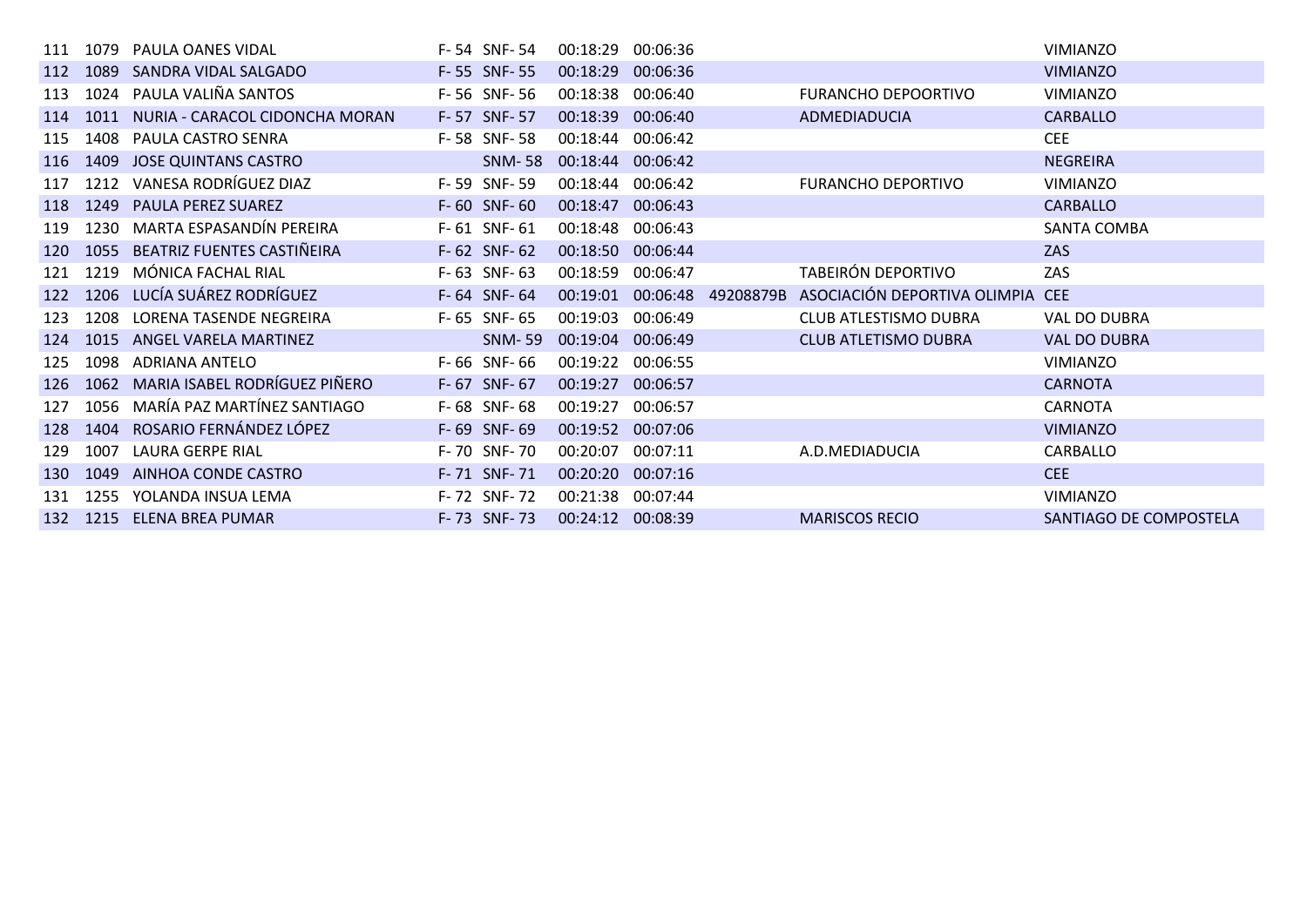| 111 | 1079 | <b>PAULA OANES VIDAL</b>       | F-54 SNF-54   | 00:18:29          | 00:06:36 |           |                                  | <b>VIMIANZO</b>        |
|-----|------|--------------------------------|---------------|-------------------|----------|-----------|----------------------------------|------------------------|
| 112 | 1089 | SANDRA VIDAL SALGADO           | F-55 SNF-55   | 00:18:29          | 00:06:36 |           |                                  | <b>VIMIANZO</b>        |
| 113 | 1024 | PAULA VALIÑA SANTOS            | F-56 SNF-56   | 00:18:38          | 00:06:40 |           | <b>FURANCHO DEPOORTIVO</b>       | <b>VIMIANZO</b>        |
| 114 | 1011 | NURIA - CARACOL CIDONCHA MORAN | F-57 SNF-57   | 00:18:39          | 00:06:40 |           | ADMEDIADUCIA                     | <b>CARBALLO</b>        |
| 115 | 1408 | PAULA CASTRO SENRA             | F-58 SNF-58   | 00:18:44          | 00:06:42 |           |                                  | <b>CEE</b>             |
| 116 | 1409 | <b>JOSE QUINTANS CASTRO</b>    | <b>SNM-58</b> | 00:18:44          | 00:06:42 |           |                                  | <b>NEGREIRA</b>        |
| 117 | 1212 | VANESA RODRÍGUEZ DIAZ          | F-59 SNF-59   | 00:18:44          | 00:06:42 |           | <b>FURANCHO DEPORTIVO</b>        | <b>VIMIANZO</b>        |
| 118 | 1249 | PAULA PEREZ SUAREZ             | F-60 SNF-60   | 00:18:47          | 00:06:43 |           |                                  | <b>CARBALLO</b>        |
| 119 | 1230 | MARTA ESPASANDÍN PEREIRA       | F-61 SNF-61   | 00:18:48          | 00:06:43 |           |                                  | SANTA COMBA            |
| 120 | 1055 | BEATRIZ FUENTES CASTIÑEIRA     | F-62 SNF-62   | 00:18:50          | 00:06:44 |           |                                  | ZAS                    |
| 121 | 1219 | MÓNICA FACHAL RIAL             | $F-63$ SNF-63 | 00:18:59          | 00:06:47 |           | TABEIRÓN DEPORTIVO               | ZAS                    |
| 122 | 1206 | LUCÍA SUÁREZ RODRÍGUEZ         | F-64 SNF-64   | 00:19:01          | 00:06:48 | 49208879B | ASOCIACIÓN DEPORTIVA OLIMPIA CEE |                        |
| 123 | 1208 | LORENA TASENDE NEGREIRA        | F-65 SNF-65   | 00:19:03          | 00:06:49 |           | CLUB ATLESTISMO DUBRA            | VAL DO DUBRA           |
| 124 | 1015 | ANGEL VARELA MARTINEZ          | <b>SNM-59</b> | 00:19:04          | 00:06:49 |           | <b>CLUB ATLETISMO DUBRA</b>      | <b>VAL DO DUBRA</b>    |
| 125 | 1098 | ADRIANA ANTELO                 | F-66 SNF-66   | 00:19:22          | 00:06:55 |           |                                  | <b>VIMIANZO</b>        |
| 126 | 1062 | MARIA ISABEL RODRÍGUEZ PIÑERO  | F-67 SNF-67   | 00:19:27          | 00:06:57 |           |                                  | <b>CARNOTA</b>         |
| 127 | 1056 | MARÍA PAZ MARTÍNEZ SANTIAGO    | F-68 SNF-68   | 00:19:27          | 00:06:57 |           |                                  | <b>CARNOTA</b>         |
| 128 | 1404 | ROSARIO FERNÁNDEZ LÓPEZ        | F-69 SNF-69   | 00:19:52          | 00:07:06 |           |                                  | <b>VIMIANZO</b>        |
| 129 | 1007 | <b>LAURA GERPE RIAL</b>        | F-70 SNF-70   | 00:20:07          | 00:07:11 |           | A.D.MEDIADUCIA                   | CARBALLO               |
| 130 | 1049 | AINHOA CONDE CASTRO            | F-71 SNF-71   | 00:20:20 00:07:16 |          |           |                                  | <b>CEE</b>             |
| 131 | 1255 | YOLANDA INSUA LEMA             | F-72 SNF-72   | 00:21:38          | 00:07:44 |           |                                  | <b>VIMIANZO</b>        |
| 132 | 1215 | <b>ELENA BREA PUMAR</b>        | F-73 SNF-73   | 00:24:12          | 00:08:39 |           | <b>MARISCOS RECIO</b>            | SANTIAGO DE COMPOSTELA |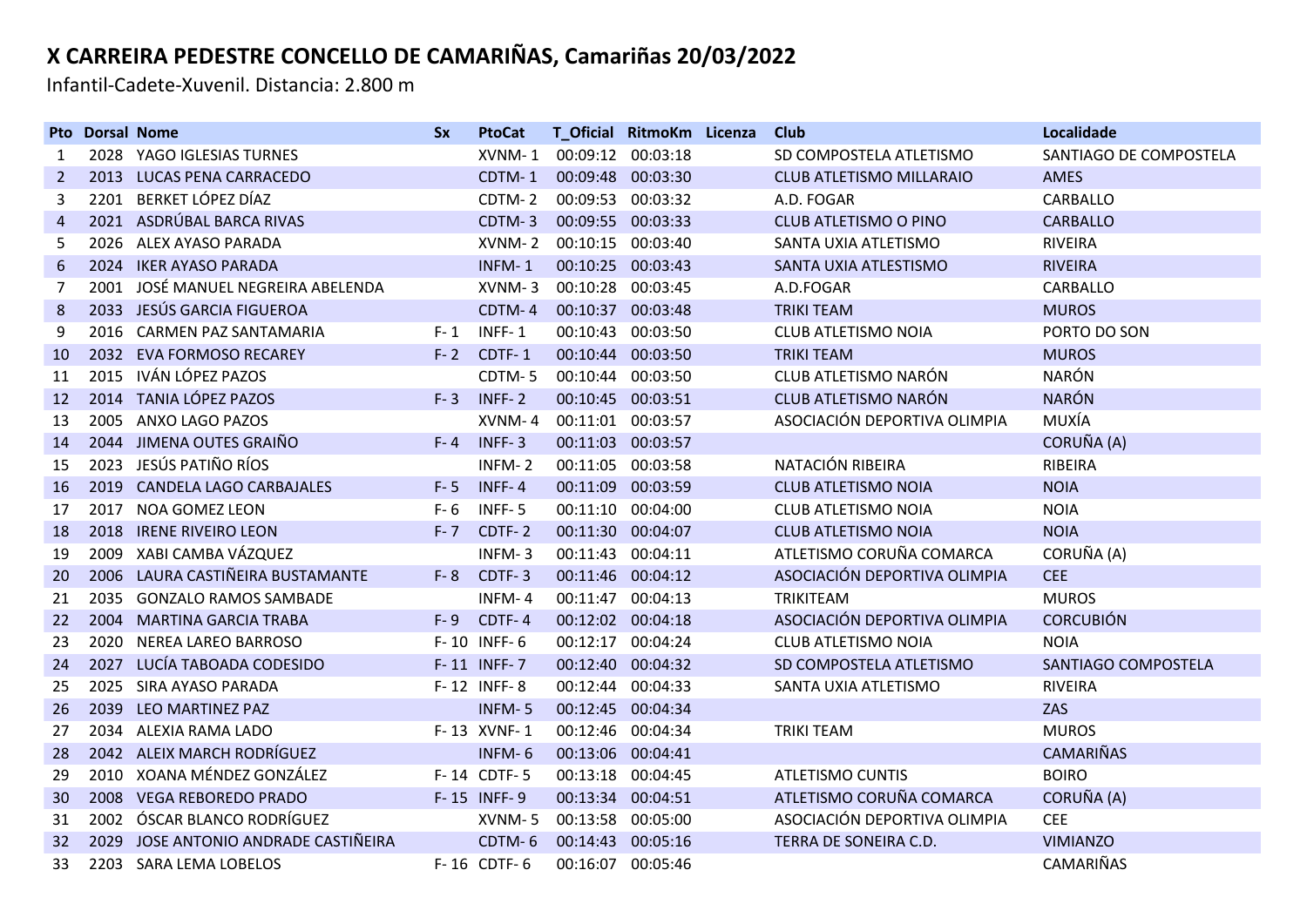Infantil-Cadete-Xuvenil. Distancia: 2.800 m

|                   | <b>Pto Dorsal Nome</b> |                                    | <b>Sx</b> | <b>PtoCat</b> |                   | T_Oficial RitmoKm Licenza | <b>Club</b>                     | Localidade             |
|-------------------|------------------------|------------------------------------|-----------|---------------|-------------------|---------------------------|---------------------------------|------------------------|
| 1                 |                        | 2028 YAGO IGLESIAS TURNES          |           | XVNM-1        | 00:09:12 00:03:18 |                           | SD COMPOSTELA ATLETISMO         | SANTIAGO DE COMPOSTELA |
| $\overline{2}$    |                        | 2013 LUCAS PENA CARRACEDO          |           | CDTM-1        | 00:09:48 00:03:30 |                           | <b>CLUB ATLETISMO MILLARAIO</b> | <b>AMES</b>            |
| 3                 | 2201                   | BERKET LÓPEZ DÍAZ                  |           | CDTM-2        | 00:09:53 00:03:32 |                           | A.D. FOGAR                      | CARBALLO               |
| 4                 |                        | 2021 ASDRÚBAL BARCA RIVAS          |           | CDTM-3        | 00:09:55 00:03:33 |                           | CLUB ATLETISMO O PINO           | <b>CARBALLO</b>        |
| 5                 |                        | 2026 ALEX AYASO PARADA             |           | XVNM-2        | 00:10:15 00:03:40 |                           | SANTA UXIA ATLETISMO            | <b>RIVEIRA</b>         |
| 6                 | 2024                   | <b>IKER AYASO PARADA</b>           |           | INFM-1        | 00:10:25 00:03:43 |                           | SANTA UXIA ATLESTISMO           | <b>RIVEIRA</b>         |
| 7                 |                        | 2001 JOSÉ MANUEL NEGREIRA ABELENDA |           | XVNM-3        | 00:10:28 00:03:45 |                           | A.D.FOGAR                       | CARBALLO               |
| 8                 |                        | 2033 JESÚS GARCIA FIGUEROA         |           | CDTM-4        | 00:10:37 00:03:48 |                           | <b>TRIKI TEAM</b>               | <b>MUROS</b>           |
| 9                 | 2016                   | <b>CARMEN PAZ SANTAMARIA</b>       | $F - 1$   | INFF-1        | 00:10:43 00:03:50 |                           | <b>CLUB ATLETISMO NOIA</b>      | PORTO DO SON           |
| 10                |                        | 2032 EVA FORMOSO RECAREY           |           | $F-2$ CDTF-1  | 00:10:44 00:03:50 |                           | <b>TRIKI TEAM</b>               | <b>MUROS</b>           |
| 11                | 2015                   | IVÁN LÓPEZ PAZOS                   |           | CDTM-5        | 00:10:44 00:03:50 |                           | CLUB ATLETISMO NARÓN            | <b>NARÓN</b>           |
| 12                |                        | 2014 TANIA LÓPEZ PAZOS             | $F - 3$   | INFF-2        | 00:10:45 00:03:51 |                           | <b>CLUB ATLETISMO NARÓN</b>     | <b>NARÓN</b>           |
| 13                |                        | 2005 ANXO LAGO PAZOS               |           | XVNM-4        | 00:11:01 00:03:57 |                           | ASOCIACIÓN DEPORTIVA OLIMPIA    | MUXÍA                  |
| 14                |                        | 2044 JIMENA OUTES GRAIÑO           | $F - 4$   | $INF-3$       | 00:11:03 00:03:57 |                           |                                 | CORUÑA (A)             |
| 15                |                        | 2023 JESÚS PATIÑO RÍOS             |           | INFM-2        | 00:11:05 00:03:58 |                           | NATACIÓN RIBEIRA                | RIBEIRA                |
| 16                | 2019                   | <b>CANDELA LAGO CARBAJALES</b>     | $F - 5$   | INFF-4        | 00:11:09 00:03:59 |                           | <b>CLUB ATLETISMO NOIA</b>      | <b>NOIA</b>            |
| 17                | 2017                   | NOA GOMEZ LEON                     | $F - 6$   | INFF-5        | 00:11:10 00:04:00 |                           | CLUB ATLETISMO NOIA             | <b>NOIA</b>            |
| 18                | 2018                   | <b>IRENE RIVEIRO LEON</b>          | $F - 7$   | CDTF-2        | 00:11:30 00:04:07 |                           | <b>CLUB ATLETISMO NOIA</b>      | <b>NOIA</b>            |
| 19                | 2009                   | XABI CAMBA VÁZQUEZ                 |           | INFM-3        | 00:11:43 00:04:11 |                           | ATLETISMO CORUÑA COMARCA        | CORUÑA (A)             |
| 20                | 2006                   | LAURA CASTIÑEIRA BUSTAMANTE        | $F - 8$   | CDTF-3        | 00:11:46 00:04:12 |                           | ASOCIACIÓN DEPORTIVA OLIMPIA    | <b>CEE</b>             |
| 21                | 2035                   | <b>GONZALO RAMOS SAMBADE</b>       |           | INFM-4        | 00:11:47 00:04:13 |                           | <b>TRIKITEAM</b>                | <b>MUROS</b>           |
| $22 \overline{ }$ | 2004                   | <b>MARTINA GARCIA TRABA</b>        | $F - 9$   | CDTF-4        | 00:12:02 00:04:18 |                           | ASOCIACIÓN DEPORTIVA OLIMPIA    | <b>CORCUBIÓN</b>       |
| 23                | 2020                   | <b>NEREA LAREO BARROSO</b>         |           | F-10 INFF-6   | 00:12:17 00:04:24 |                           | CLUB ATLETISMO NOIA             | <b>NOIA</b>            |
| 24                | 2027                   | LUCÍA TABOADA CODESIDO             |           | F-11 INFF-7   | 00:12:40 00:04:32 |                           | SD COMPOSTELA ATLETISMO         | SANTIAGO COMPOSTELA    |
| 25                | 2025                   | SIRA AYASO PARADA                  |           | F-12 INFF-8   | 00:12:44 00:04:33 |                           | SANTA UXIA ATLETISMO            | <b>RIVEIRA</b>         |
| 26                | 2039                   | LEO MARTINEZ PAZ                   |           | INFM-5        | 00:12:45 00:04:34 |                           |                                 | ZAS                    |
| 27                |                        | 2034 ALEXIA RAMA LADO              |           | F-13 XVNF-1   | 00:12:46 00:04:34 |                           | <b>TRIKI TEAM</b>               | <b>MUROS</b>           |
| 28                |                        | 2042 ALEIX MARCH RODRÍGUEZ         |           | INFM-6        | 00:13:06 00:04:41 |                           |                                 | <b>CAMARIÑAS</b>       |
| 29                |                        | 2010 XOANA MÉNDEZ GONZÁLEZ         |           | F-14 CDTF-5   | 00:13:18 00:04:45 |                           | <b>ATLETISMO CUNTIS</b>         | <b>BOIRO</b>           |
| 30                |                        | 2008 VEGA REBOREDO PRADO           |           | F-15 INFF-9   | 00:13:34 00:04:51 |                           | ATLETISMO CORUÑA COMARCA        | CORUÑA (A)             |
| 31                | 2002                   | ÓSCAR BLANCO RODRÍGUEZ             |           | XVNM-5        | 00:13:58 00:05:00 |                           | ASOCIACIÓN DEPORTIVA OLIMPIA    | <b>CEE</b>             |
| 32                | 2029                   | JOSE ANTONIO ANDRADE CASTIÑEIRA    |           | CDTM-6        | 00:14:43 00:05:16 |                           | TERRA DE SONEIRA C.D.           | <b>VIMIANZO</b>        |
| 33                |                        | 2203 SARA LEMA LOBELOS             |           | F-16 CDTF-6   | 00:16:07 00:05:46 |                           |                                 | <b>CAMARIÑAS</b>       |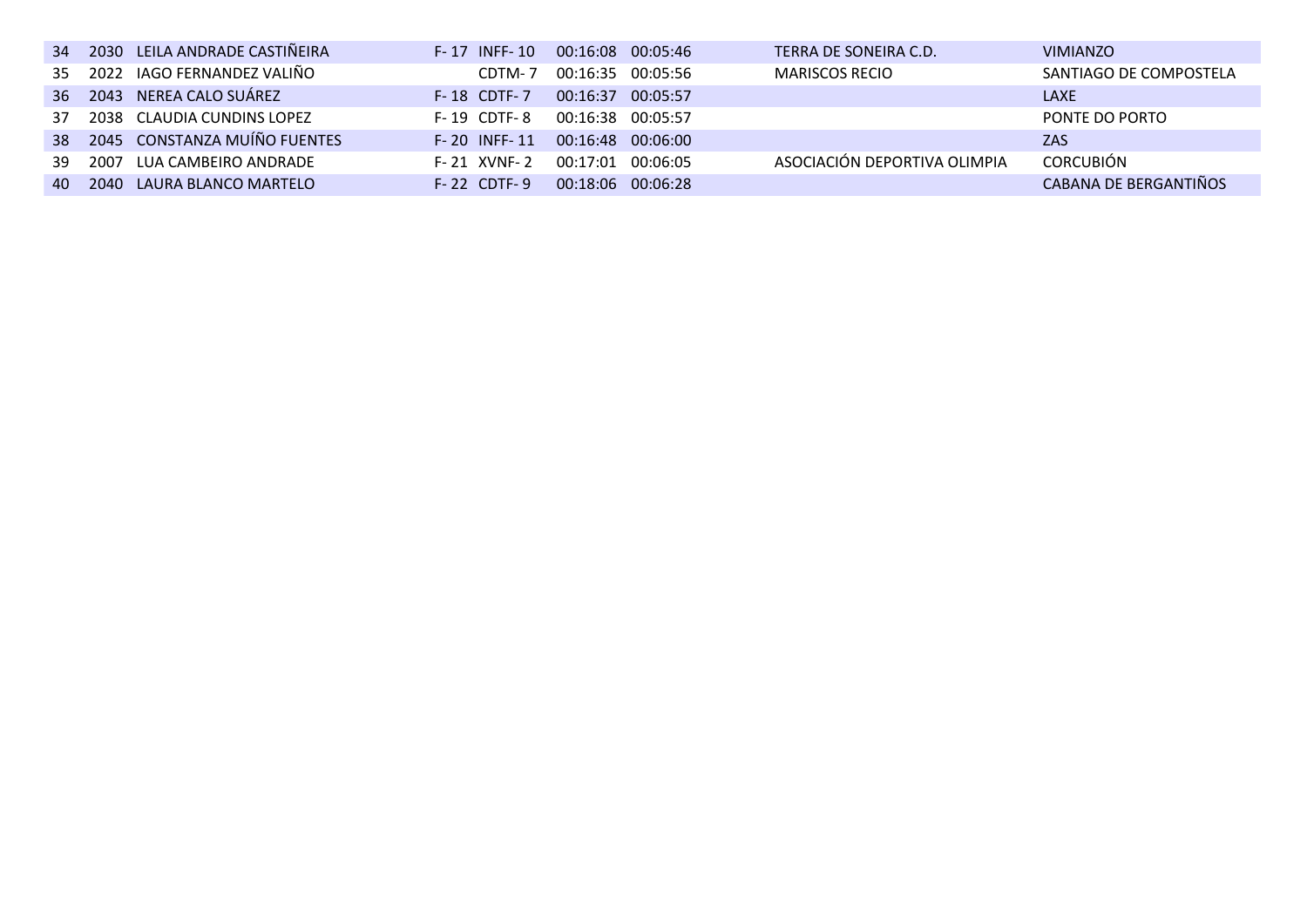| 34 <sup>2</sup> | 2030 | LEILA ANDRADE CASTIÑEIRA     | $INF-10$<br>$F - 17$ | 00:16:08 00:05:46     | TERRA DE SONEIRA C.D.        | <b>VIMIANZO</b>        |
|-----------------|------|------------------------------|----------------------|-----------------------|------------------------------|------------------------|
| 35              | 2022 | IAGO FERNANDEZ VALIÑO        | CDTM-7               | 00:16:35 00:05:56     | <b>MARISCOS RECIO</b>        | SANTIAGO DE COMPOSTELA |
| 36 ·            |      | 2043 NEREA CALO SUÁREZ       | F-18 CDTF-7          | 00:16:37 00:05:57     |                              | LAXE                   |
| 37              |      | 2038 CLAUDIA CUNDINS LOPEZ   | $F-19$ CDTF-8        | 00:16:38 00:05:57     |                              | PONTE DO PORTO         |
| <b>38</b>       |      | 2045 CONSTANZA MUÍÑO FUENTES | $F - 20$ INFF-11     | $00:16:48$ $00:06:00$ |                              | <b>ZAS</b>             |
| 39              | 2007 | LUA CAMBEIRO ANDRADE         | $F - 21$ XVNF-2      | 00:17:01 00:06:05     | ASOCIACIÓN DEPORTIVA OLIMPIA | <b>CORCUBIÓN</b>       |
| 40              | 2040 | LAURA BLANCO MARTELO         | $F-22$ CDTF-9        | 00:18:06 00:06:28     |                              | CABANA DE BERGANTIÑOS  |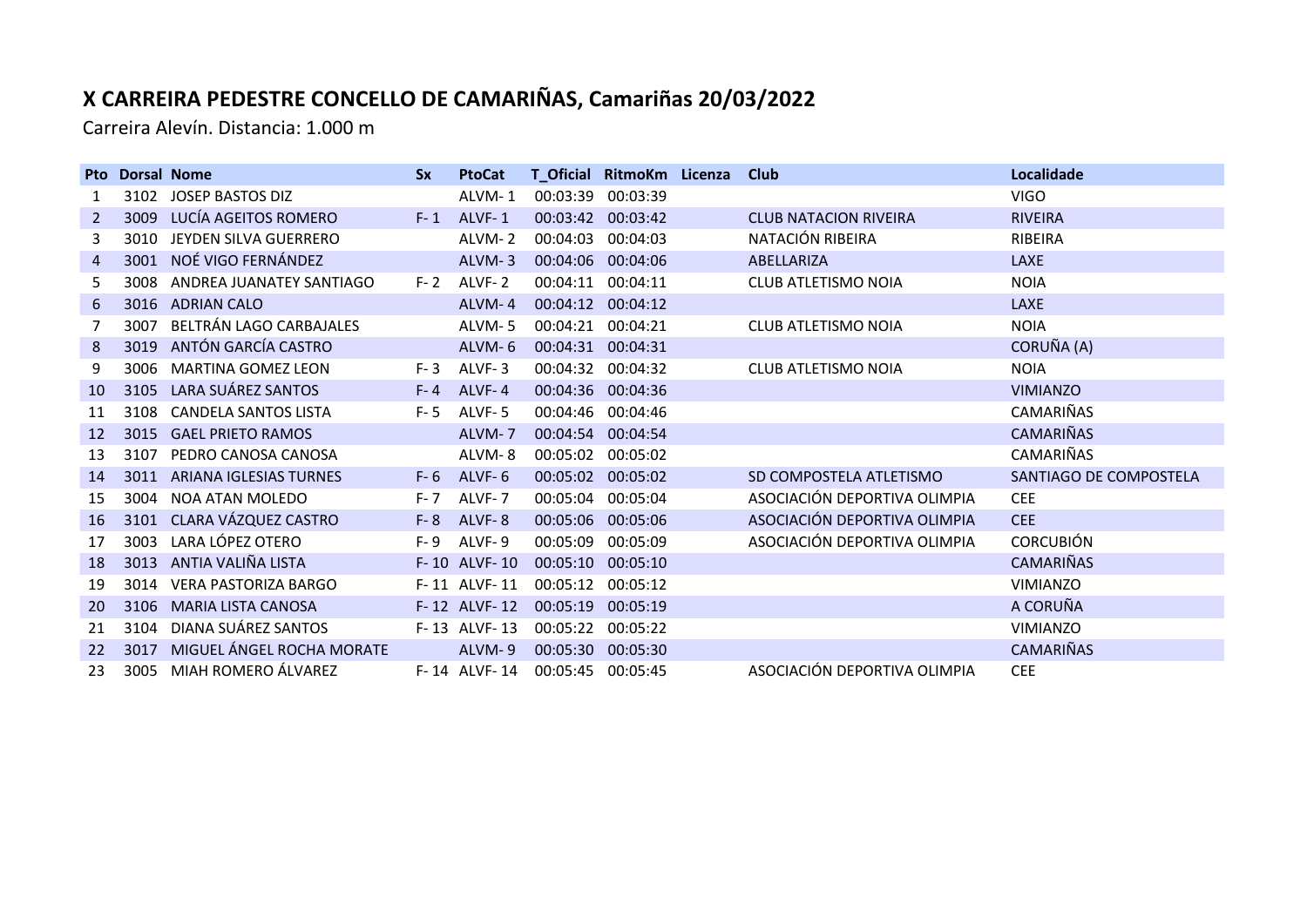Carreira Alevín. Distancia: 1.000 m

|               | <b>Pto Dorsal Nome</b> |                               | <b>Sx</b> | <b>PtoCat</b>  |                   | T_Oficial RitmoKm Licenza | <b>Club</b>                  | Localidade             |
|---------------|------------------------|-------------------------------|-----------|----------------|-------------------|---------------------------|------------------------------|------------------------|
| 1             | 3102                   | JOSEP BASTOS DIZ              |           | ALVM-1         | 00:03:39          | 00:03:39                  |                              | <b>VIGO</b>            |
| $\mathcal{P}$ | 3009                   | LUCÍA AGEITOS ROMERO          | $F-1$     | ALVF-1         | 00:03:42 00:03:42 |                           | <b>CLUB NATACION RIVEIRA</b> | <b>RIVEIRA</b>         |
| 3             | 3010                   | JEYDEN SILVA GUERRERO         |           | ALVM-2         | 00:04:03          | 00:04:03                  | NATACIÓN RIBEIRA             | RIBEIRA                |
| 4             | 3001                   | NOÉ VIGO FERNÁNDEZ            |           | ALVM-3         | 00:04:06 00:04:06 |                           | ABELLARIZA                   | <b>LAXE</b>            |
| 5.            |                        | 3008 ANDREA JUANATEY SANTIAGO | $F - 2$   | ALVF-2         | 00:04:11          | 00:04:11                  | <b>CLUB ATLETISMO NOIA</b>   | <b>NOIA</b>            |
| 6             |                        | 3016 ADRIAN CALO              |           | ALVM-4         | 00:04:12 00:04:12 |                           |                              | <b>LAXE</b>            |
|               | 3007                   | BELTRÁN LAGO CARBAJALES       |           | ALVM-5         | 00:04:21 00:04:21 |                           | <b>CLUB ATLETISMO NOIA</b>   | <b>NOIA</b>            |
| 8             | 3019                   | ANTÓN GARCÍA CASTRO           |           | ALVM-6         | 00:04:31          | 00:04:31                  |                              | CORUÑA (A)             |
| 9             | 3006                   | MARTINA GOMEZ LEON            | $F - 3$   | ALVF-3         | 00:04:32 00:04:32 |                           | <b>CLUB ATLETISMO NOIA</b>   | <b>NOIA</b>            |
| 10            | 3105                   | LARA SUÁREZ SANTOS            | $F - 4$   | ALVF-4         | 00:04:36 00:04:36 |                           |                              | <b>VIMIANZO</b>        |
| 11            | 3108                   | <b>CANDELA SANTOS LISTA</b>   | $F - 5$   | ALVF-5         | 00:04:46          | 00:04:46                  |                              | <b>CAMARIÑAS</b>       |
| 12            | 3015                   | <b>GAEL PRIETO RAMOS</b>      |           | ALVM-7         | 00:04:54 00:04:54 |                           |                              | <b>CAMARIÑAS</b>       |
| 13            | 3107                   | PEDRO CANOSA CANOSA           |           | ALVM-8         | 00:05:02          | 00:05:02                  |                              | CAMARIÑAS              |
| 14            | 3011                   | ARIANA IGLESIAS TURNES        |           | $F - 6$ ALVF-6 | 00:05:02 00:05:02 |                           | SD COMPOSTELA ATLETISMO      | SANTIAGO DE COMPOSTELA |
| 15            | 3004                   | NOA ATAN MOLEDO               | $F - 7$   | ALVF-7         | 00:05:04 00:05:04 |                           | ASOCIACIÓN DEPORTIVA OLIMPIA | <b>CEE</b>             |
| 16            |                        | 3101 CLARA VÁZQUEZ CASTRO     |           | $F-8$ ALVF-8   | 00:05:06 00:05:06 |                           | ASOCIACIÓN DEPORTIVA OLIMPIA | <b>CEE</b>             |
| 17            | 3003                   | LARA LÓPEZ OTERO              | F-9       | ALVF-9         | 00:05:09          | 00:05:09                  | ASOCIACIÓN DEPORTIVA OLIMPIA | <b>CORCUBIÓN</b>       |
| 18            | 3013                   | ANTIA VALIÑA LISTA            |           | F-10 ALVF-10   | 00:05:10          | 00:05:10                  |                              | <b>CAMARIÑAS</b>       |
| 19            | 3014                   | <b>VERA PASTORIZA BARGO</b>   |           | F-11 ALVF-11   | 00:05:12          | 00:05:12                  |                              | <b>VIMIANZO</b>        |
| 20            | 3106                   | <b>MARIA LISTA CANOSA</b>     |           | F-12 ALVF-12   | 00:05:19          | 00:05:19                  |                              | A CORUÑA               |
| 21            | 3104                   | DIANA SUÁREZ SANTOS           |           | F-13 ALVF-13   | 00:05:22          | 00:05:22                  |                              | <b>VIMIANZO</b>        |
| 22            | 3017                   | MIGUEL ÁNGEL ROCHA MORATE     |           | ALVM-9         | 00:05:30          | 00:05:30                  |                              | <b>CAMARIÑAS</b>       |
| 23            | 3005                   | MIAH ROMERO ÁLVAREZ           |           | F-14 ALVF-14   | 00:05:45 00:05:45 |                           | ASOCIACIÓN DEPORTIVA OLIMPIA | <b>CEE</b>             |